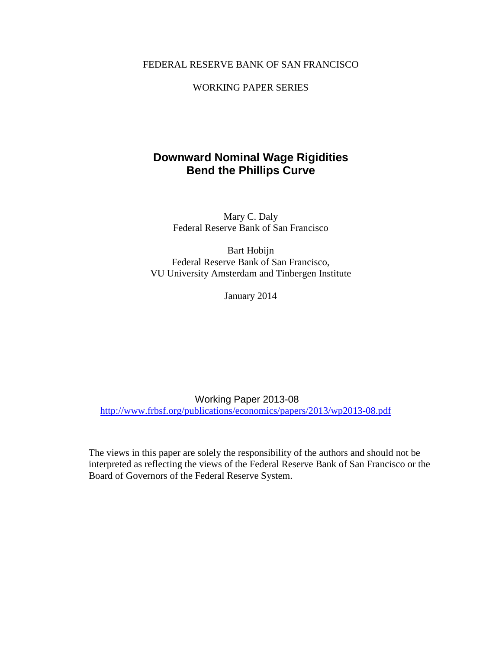### FEDERAL RESERVE BANK OF SAN FRANCISCO

### WORKING PAPER SERIES

# **Downward Nominal Wage Rigidities Bend the Phillips Curve**

Mary C. Daly Federal Reserve Bank of San Francisco

Bart Hobijn Federal Reserve Bank of San Francisco, VU University Amsterdam and Tinbergen Institute

January 2014

Working Paper 2013-08 <http://www.frbsf.org/publications/economics/papers/2013/wp2013-08.pdf>

The views in this paper are solely the responsibility of the authors and should not be interpreted as reflecting the views of the Federal Reserve Bank of San Francisco or the Board of Governors of the Federal Reserve System.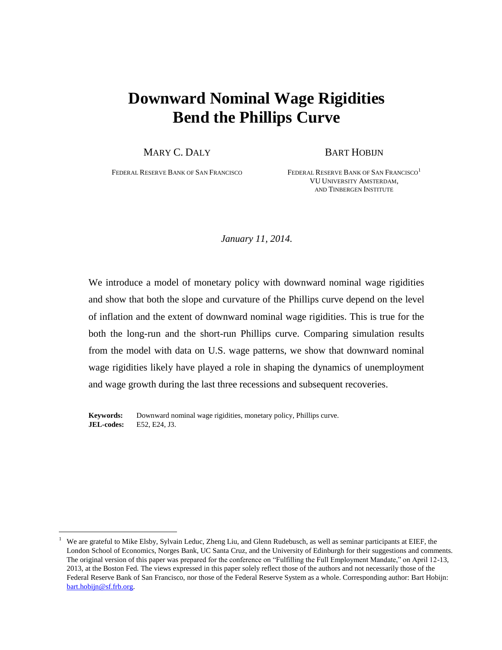# **Downward Nominal Wage Rigidities Bend the Phillips Curve**

MARY C. DALY BART HOBIJN

FEDERAL RESERVE BANK OF SAN FRANCISCO FEDERAL RESERVE BANK OF SAN FRANCISCO<sup>1</sup> VU UNIVERSITY AMSTERDAM, AND TINBERGEN INSTITUTE

*January 11, 2014.*

We introduce a model of monetary policy with downward nominal wage rigidities and show that both the slope and curvature of the Phillips curve depend on the level of inflation and the extent of downward nominal wage rigidities. This is true for the both the long-run and the short-run Phillips curve. Comparing simulation results from the model with data on U.S. wage patterns, we show that downward nominal wage rigidities likely have played a role in shaping the dynamics of unemployment and wage growth during the last three recessions and subsequent recoveries.

**Keywords:** Downward nominal wage rigidities, monetary policy, Phillips curve. **JEL-codes:** E52, E24, J3.

 $\overline{a}$ 

<sup>&</sup>lt;sup>1</sup> We are grateful to Mike Elsby, Sylvain Leduc, Zheng Liu, and Glenn Rudebusch, as well as seminar participants at EIEF, the London School of Economics, Norges Bank, UC Santa Cruz, and the University of Edinburgh for their suggestions and comments. The original version of this paper was prepared for the conference on "Fulfilling the Full Employment Mandate," on April 12-13, 2013, at the Boston Fed. The views expressed in this paper solely reflect those of the authors and not necessarily those of the Federal Reserve Bank of San Francisco, nor those of the Federal Reserve System as a whole. Corresponding author: Bart Hobijn: [bart.hobijn@sf.frb.org.](mailto:bart.hobijn@sf.frb.org)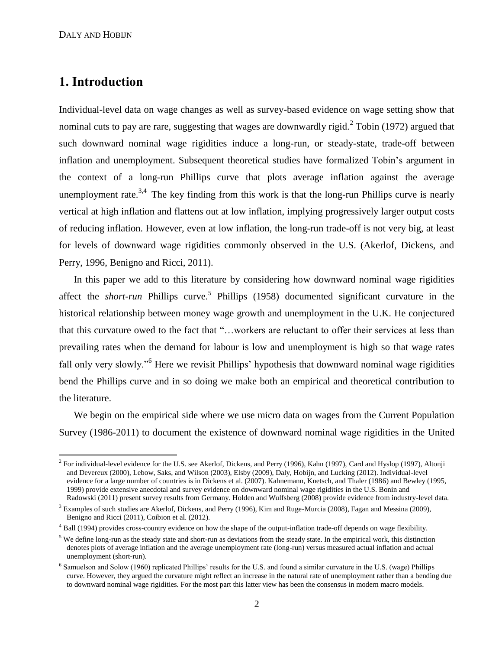# **1. Introduction**

 $\overline{a}$ 

Individual-level data on wage changes as well as survey-based evidence on wage setting show that nominal cuts to pay are rare, suggesting that wages are downwardly rigid. $2$  Tobin (1972) argued that such downward nominal wage rigidities induce a long-run, or steady-state, trade-off between inflation and unemployment. Subsequent theoretical studies have formalized Tobin's argument in the context of a long-run Phillips curve that plots average inflation against the average unemployment rate.<sup>3,4</sup> The key finding from this work is that the long-run Phillips curve is nearly vertical at high inflation and flattens out at low inflation, implying progressively larger output costs of reducing inflation. However, even at low inflation, the long-run trade-off is not very big, at least for levels of downward wage rigidities commonly observed in the U.S. (Akerlof, Dickens, and Perry, 1996, Benigno and Ricci, 2011).

In this paper we add to this literature by considering how downward nominal wage rigidities affect the *short-run* Phillips curve.<sup>5</sup> Phillips (1958) documented significant curvature in the historical relationship between money wage growth and unemployment in the U.K. He conjectured that this curvature owed to the fact that "…workers are reluctant to offer their services at less than prevailing rates when the demand for labour is low and unemployment is high so that wage rates fall only very slowly."<sup>6</sup> Here we revisit Phillips' hypothesis that downward nominal wage rigidities bend the Phillips curve and in so doing we make both an empirical and theoretical contribution to the literature.

We begin on the empirical side where we use micro data on wages from the Current Population Survey (1986-2011) to document the existence of downward nominal wage rigidities in the United

<sup>&</sup>lt;sup>2</sup> For individual-level evidence for the U.S. see Akerlof, Dickens, and Perry (1996), Kahn (1997), Card and Hyslop (1997), Altonji and Devereux (2000), Lebow, Saks, and Wilson (2003), Elsby (2009), Daly, Hobijn, and Lucking (2012). Individual-level evidence for a large number of countries is in Dickens et al. (2007). Kahnemann, Knetsch, and Thaler (1986) and Bewley (1995, 1999) provide extensive anecdotal and survey evidence on downward nominal wage rigidities in the U.S. Bonin and Radowski (2011) present survey results from Germany. Holden and Wulfsberg (2008) provide evidence from industry-level data.

 $3$  Examples of such studies are Akerlof, Dickens, and Perry (1996), Kim and Ruge-Murcia (2008), Fagan and Messina (2009), Benigno and Ricci (2011), Coibion et al. (2012).

<sup>&</sup>lt;sup>4</sup> Ball (1994) provides cross-country evidence on how the shape of the output-inflation trade-off depends on wage flexibility.

 $<sup>5</sup>$  We define long-run as the steady state and short-run as deviations from the steady state. In the empirical work, this distinction</sup> denotes plots of average inflation and the average unemployment rate (long-run) versus measured actual inflation and actual unemployment (short-run).

<sup>&</sup>lt;sup>6</sup> Samuelson and Solow (1960) replicated Phillips' results for the U.S. and found a similar curvature in the U.S. (wage) Phillips curve. However, they argued the curvature might reflect an increase in the natural rate of unemployment rather than a bending due to downward nominal wage rigidities. For the most part this latter view has been the consensus in modern macro models.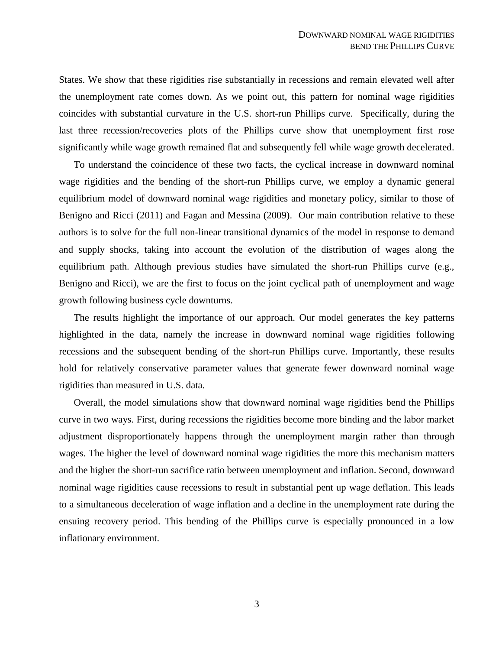States. We show that these rigidities rise substantially in recessions and remain elevated well after the unemployment rate comes down. As we point out, this pattern for nominal wage rigidities coincides with substantial curvature in the U.S. short-run Phillips curve. Specifically, during the last three recession/recoveries plots of the Phillips curve show that unemployment first rose significantly while wage growth remained flat and subsequently fell while wage growth decelerated.

To understand the coincidence of these two facts, the cyclical increase in downward nominal wage rigidities and the bending of the short-run Phillips curve, we employ a dynamic general equilibrium model of downward nominal wage rigidities and monetary policy, similar to those of Benigno and Ricci (2011) and Fagan and Messina (2009). Our main contribution relative to these authors is to solve for the full non-linear transitional dynamics of the model in response to demand and supply shocks, taking into account the evolution of the distribution of wages along the equilibrium path. Although previous studies have simulated the short-run Phillips curve (e.g., Benigno and Ricci), we are the first to focus on the joint cyclical path of unemployment and wage growth following business cycle downturns.

The results highlight the importance of our approach. Our model generates the key patterns highlighted in the data, namely the increase in downward nominal wage rigidities following recessions and the subsequent bending of the short-run Phillips curve. Importantly, these results hold for relatively conservative parameter values that generate fewer downward nominal wage rigidities than measured in U.S. data.

Overall, the model simulations show that downward nominal wage rigidities bend the Phillips curve in two ways. First, during recessions the rigidities become more binding and the labor market adjustment disproportionately happens through the unemployment margin rather than through wages. The higher the level of downward nominal wage rigidities the more this mechanism matters and the higher the short-run sacrifice ratio between unemployment and inflation. Second, downward nominal wage rigidities cause recessions to result in substantial pent up wage deflation. This leads to a simultaneous deceleration of wage inflation and a decline in the unemployment rate during the ensuing recovery period. This bending of the Phillips curve is especially pronounced in a low inflationary environment.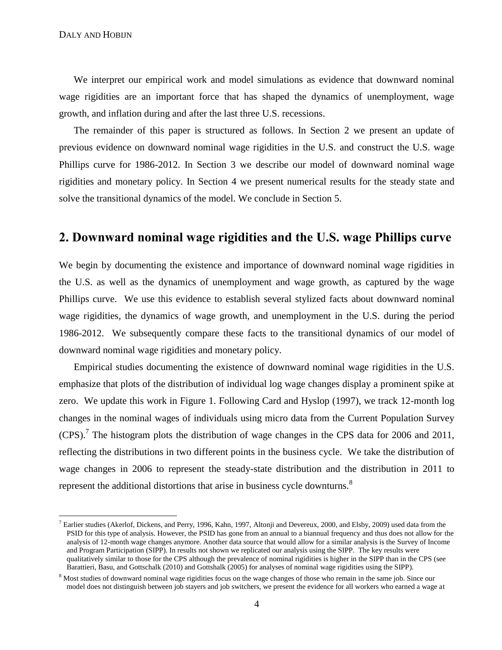$\overline{a}$ 

We interpret our empirical work and model simulations as evidence that downward nominal wage rigidities are an important force that has shaped the dynamics of unemployment, wage growth, and inflation during and after the last three U.S. recessions.

The remainder of this paper is structured as follows. In Section [2](#page-4-0) we present an update of previous evidence on downward nominal wage rigidities in the U.S. and construct the U.S. wage Phillips curve for 1986-2012. In Section [3](#page-7-0) we describe our model of downward nominal wage rigidities and monetary policy. In Section [4](#page-19-0) we present numerical results for the steady state and solve the transitional dynamics of the model. We conclude in Section [5.](#page-27-0)

# <span id="page-4-0"></span>**2. Downward nominal wage rigidities and the U.S. wage Phillips curve**

We begin by documenting the existence and importance of downward nominal wage rigidities in the U.S. as well as the dynamics of unemployment and wage growth, as captured by the wage Phillips curve. We use this evidence to establish several stylized facts about downward nominal wage rigidities, the dynamics of wage growth, and unemployment in the U.S. during the period 1986-2012. We subsequently compare these facts to the transitional dynamics of our model of downward nominal wage rigidities and monetary policy.

Empirical studies documenting the existence of downward nominal wage rigidities in the U.S. emphasize that plots of the distribution of individual log wage changes display a prominent spike at zero. We update this work in Figure [1.](#page-43-0) Following Card and Hyslop (1997), we track 12-month log changes in the nominal wages of individuals using micro data from the Current Population Survey  $(CPS)$ .<sup>7</sup> The histogram plots the distribution of wage changes in the CPS data for 2006 and 2011, reflecting the distributions in two different points in the business cycle. We take the distribution of wage changes in 2006 to represent the steady-state distribution and the distribution in 2011 to represent the additional distortions that arise in business cycle downturns.<sup>8</sup>

 $^7$  Earlier studies (Akerlof, Dickens, and Perry, 1996, Kahn, 1997, Altonji and Devereux, 2000, and Elsby, 2009) used data from the PSID for this type of analysis. However, the PSID has gone from an annual to a biannual frequency and thus does not allow for the analysis of 12-month wage changes anymore. Another data source that would allow for a similar analysis is the Survey of Income and Program Participation (SIPP). In results not shown we replicated our analysis using the SIPP. The key results were qualitatively similar to those for the CPS although the prevalence of nominal rigidities is higher in the SIPP than in the CPS (see Barattieri, Basu, and Gottschalk (2010) and Gottshalk (2005) for analyses of nominal wage rigidities using the SIPP).

<sup>&</sup>lt;sup>8</sup> Most studies of downward nominal wage rigidities focus on the wage changes of those who remain in the same job. Since our model does not distinguish between job stayers and job switchers, we present the evidence for all workers who earned a wage at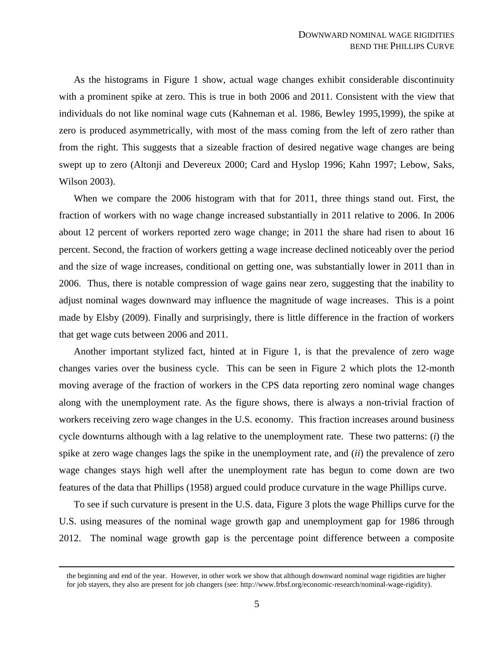As the histograms in Figure [1](#page-43-0) show, actual wage changes exhibit considerable discontinuity with a prominent spike at zero. This is true in both 2006 and 2011. Consistent with the view that individuals do not like nominal wage cuts (Kahneman et al. 1986, Bewley 1995,1999), the spike at zero is produced asymmetrically, with most of the mass coming from the left of zero rather than from the right. This suggests that a sizeable fraction of desired negative wage changes are being swept up to zero (Altonji and Devereux 2000; Card and Hyslop 1996; Kahn 1997; Lebow, Saks, Wilson 2003).

When we compare the 2006 histogram with that for 2011, three things stand out. First, the fraction of workers with no wage change increased substantially in 2011 relative to 2006. In 2006 about 12 percent of workers reported zero wage change; in 2011 the share had risen to about 16 percent. Second, the fraction of workers getting a wage increase declined noticeably over the period and the size of wage increases, conditional on getting one, was substantially lower in 2011 than in 2006. Thus, there is notable compression of wage gains near zero, suggesting that the inability to adjust nominal wages downward may influence the magnitude of wage increases. This is a point made by Elsby (2009). Finally and surprisingly, there is little difference in the fraction of workers that get wage cuts between 2006 and 2011.

Another important stylized fact, hinted at in Figure [1,](#page-43-0) is that the prevalence of zero wage changes varies over the business cycle. This can be seen in Figure [2](#page-44-0) which plots the 12-month moving average of the fraction of workers in the CPS data reporting zero nominal wage changes along with the unemployment rate. As the figure shows, there is always a non-trivial fraction of workers receiving zero wage changes in the U.S. economy. This fraction increases around business cycle downturns although with a lag relative to the unemployment rate. These two patterns: (*i*) the spike at zero wage changes lags the spike in the unemployment rate, and (*ii*) the prevalence of zero wage changes stays high well after the unemployment rate has begun to come down are two features of the data that Phillips (1958) argued could produce curvature in the wage Phillips curve.

To see if such curvature is present in the U.S. data, Figure [3](#page-44-1) plots the wage Phillips curve for the U.S. using measures of the nominal wage growth gap and unemployment gap for 1986 through 2012. The nominal wage growth gap is the percentage point difference between a composite

 $\overline{a}$ 

the beginning and end of the year. However, in other work we show that although downward nominal wage rigidities are higher for job stayers, they also are present for job changers (see: http://www.frbsf.org/economic-research/nominal-wage-rigidity).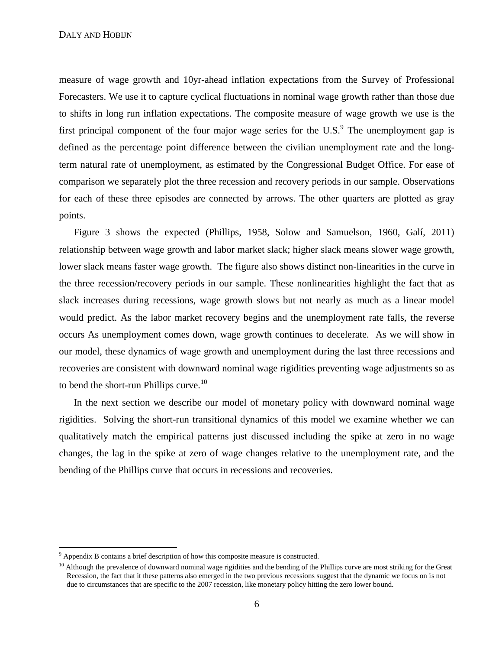measure of wage growth and 10yr-ahead inflation expectations from the Survey of Professional Forecasters. We use it to capture cyclical fluctuations in nominal wage growth rather than those due to shifts in long run inflation expectations. The composite measure of wage growth we use is the first principal component of the four major wage series for the U.S. $<sup>9</sup>$  The unemployment gap is</sup> defined as the percentage point difference between the civilian unemployment rate and the longterm natural rate of unemployment, as estimated by the Congressional Budget Office. For ease of comparison we separately plot the three recession and recovery periods in our sample. Observations for each of these three episodes are connected by arrows. The other quarters are plotted as gray points.

Figure [3](#page-44-1) shows the expected (Phillips, 1958, Solow and Samuelson, 1960, Galí, 2011) relationship between wage growth and labor market slack; higher slack means slower wage growth, lower slack means faster wage growth. The figure also shows distinct non-linearities in the curve in the three recession/recovery periods in our sample. These nonlinearities highlight the fact that as slack increases during recessions, wage growth slows but not nearly as much as a linear model would predict. As the labor market recovery begins and the unemployment rate falls, the reverse occurs As unemployment comes down, wage growth continues to decelerate. As we will show in our model, these dynamics of wage growth and unemployment during the last three recessions and recoveries are consistent with downward nominal wage rigidities preventing wage adjustments so as to bend the short-run Phillips curve.<sup>10</sup>

In the next section we describe our model of monetary policy with downward nominal wage rigidities. Solving the short-run transitional dynamics of this model we examine whether we can qualitatively match the empirical patterns just discussed including the spike at zero in no wage changes, the lag in the spike at zero of wage changes relative to the unemployment rate, and the bending of the Phillips curve that occurs in recessions and recoveries.

 $\overline{a}$ 

 $9$  Appendix [B](#page-41-0) contains a brief description of how this composite measure is constructed.

<sup>&</sup>lt;sup>10</sup> Although the prevalence of downward nominal wage rigidities and the bending of the Phillips curve are most striking for the Great Recession, the fact that it these patterns also emerged in the two previous recessions suggest that the dynamic we focus on is not due to circumstances that are specific to the 2007 recession, like monetary policy hitting the zero lower bound.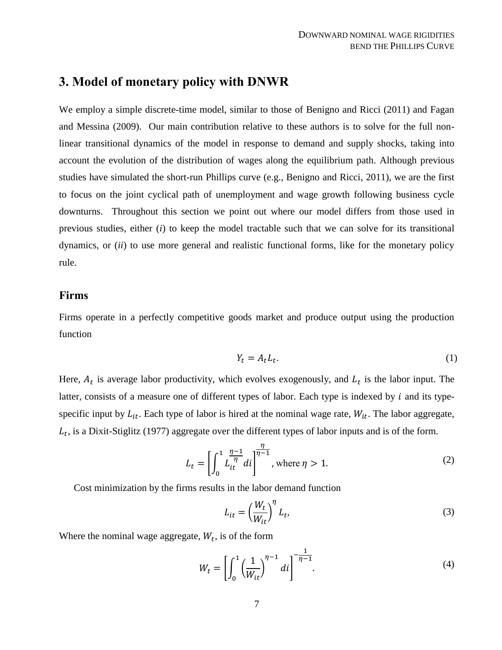# <span id="page-7-0"></span>**3. Model of monetary policy with DNWR**

We employ a simple discrete-time model, similar to those of Benigno and Ricci (2011) and Fagan and Messina (2009). Our main contribution relative to these authors is to solve for the full nonlinear transitional dynamics of the model in response to demand and supply shocks, taking into account the evolution of the distribution of wages along the equilibrium path. Although previous studies have simulated the short-run Phillips curve (e.g., Benigno and Ricci, 2011), we are the first to focus on the joint cyclical path of unemployment and wage growth following business cycle downturns. Throughout this section we point out where our model differs from those used in previous studies, either (*i*) to keep the model tractable such that we can solve for its transitional dynamics, or (*ii*) to use more general and realistic functional forms, like for the monetary policy rule.

# **Firms**

Firms operate in a perfectly competitive goods market and produce output using the production function

<span id="page-7-2"></span>
$$
Y_t = A_t L_t. \tag{1}
$$

Here,  $A_t$  is average labor productivity, which evolves exogenously, and  $L_t$  is the labor input. The latter, consists of a measure one of different types of labor. Each type is indexed by  $i$  and its typespecific input by  $L_{it}$ . Each type of labor is hired at the nominal wage rate,  $W_{it}$ . The labor aggregate,  $L_t$ , is a Dixit-Stiglitz (1977) aggregate over the different types of labor inputs and is of the form.

$$
L_t = \left[ \int_0^1 \frac{\eta - 1}{L_{it}^{\eta}} dt \right]_{\eta - 1}, \text{ where } \eta > 1.
$$
 (2)

Cost minimization by the firms results in the labor demand function

<span id="page-7-1"></span>
$$
L_{it} = \left(\frac{W_t}{W_{it}}\right)^{\eta} L_t,\tag{3}
$$

Where the nominal wage aggregate,  $W_t$ , is of the form

$$
W_t = \left[ \int_0^1 \left( \frac{1}{W_{it}} \right)^{\eta - 1} di \right]^{-\frac{1}{\eta - 1}}.
$$
 (4)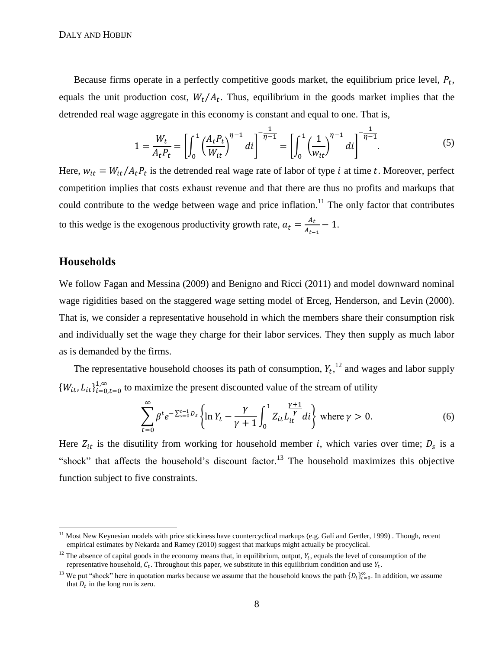Because firms operate in a perfectly competitive goods market, the equilibrium price level,  $P_t$ , equals the unit production cost,  $W_t/A_t$ . Thus, equilibrium in the goods market implies that the detrended real wage aggregate in this economy is constant and equal to one. That is,

<span id="page-8-0"></span>
$$
1 = \frac{W_t}{A_t P_t} = \left[ \int_0^1 \left( \frac{A_t P_t}{W_{it}} \right)^{\eta - 1} dt \right]^{-\frac{1}{\eta - 1}} = \left[ \int_0^1 \left( \frac{1}{W_{it}} \right)^{\eta - 1} dt \right]^{-\frac{1}{\eta - 1}}.
$$
 (5)

Here,  $w_{it} = W_{it}/A_t P_t$  is the detrended real wage rate of labor of type *i* at time *t*. Moreover, perfect competition implies that costs exhaust revenue and that there are thus no profits and markups that could contribute to the wedge between wage and price inflation.<sup>11</sup> The only factor that contributes to this wedge is the exogenous productivity growth rate,  $a_t = \frac{A}{A}$  $\frac{A_t}{A_{t-1}} - 1.$ 

### **Households**

 $\overline{a}$ 

We follow Fagan and Messina (2009) and Benigno and Ricci (2011) and model downward nominal wage rigidities based on the staggered wage setting model of Erceg, Henderson, and Levin (2000). That is, we consider a representative household in which the members share their consumption risk and individually set the wage they charge for their labor services. They then supply as much labor as is demanded by the firms.

The representative household chooses its path of consumption,  $Y_t$ ,  $^{12}$  and wages and labor supply  ${W_{it}, L_{it}}_{i=0, t=0}^{1, \infty}$  to maximize the present discounted value of the stream of utility

$$
\sum_{t=0}^{\infty} \beta^t e^{-\sum_{s=0}^{t-1} D_s} \left\{ \ln Y_t - \frac{\gamma}{\gamma+1} \int_0^1 Z_{it} L_{it}^{\frac{\gamma+1}{\gamma}} dt \right\} \text{ where } \gamma > 0.
$$
 (6)

Here  $Z_{it}$  is the disutility from working for household member *i*, which varies over time;  $D_s$  is a "shock" that affects the household's discount factor.<sup>13</sup> The household maximizes this objective function subject to five constraints.

<sup>11</sup> Most New Keynesian models with price stickiness have countercyclical markups (e.g. Galí and Gertler, 1999) . Though, recent empirical estimates by Nekarda and Ramey (2010) suggest that markups might actually be procyclical.

<sup>&</sup>lt;sup>12</sup> The absence of capital goods in the economy means that, in equilibrium, output,  $Y_t$ , equals the level of consumption of the representative household,  $C_t$ . Throughout this paper, we substitute in this equilibrium condition and use  $Y_t$ .

<sup>&</sup>lt;sup>13</sup> We put "shock" here in quotation marks because we assume that the household knows the path  $\{D_t\}_{t=0}^{\infty}$ . In addition, we assume that  $D_t$  in the long run is zero.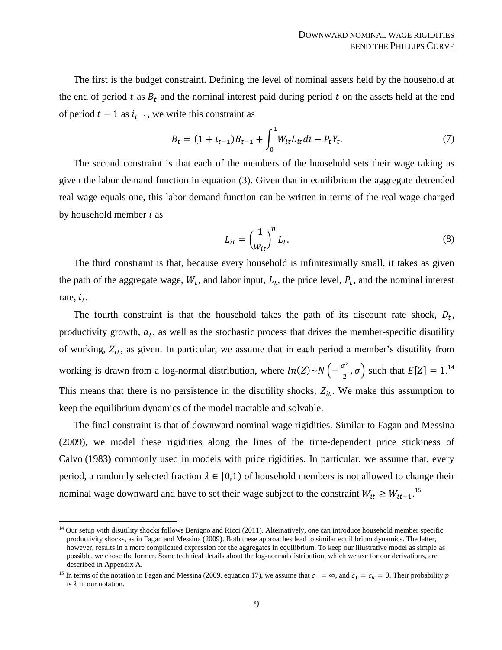The first is the budget constraint. Defining the level of nominal assets held by the household at the end of period t as  $B_t$  and the nominal interest paid during period t on the assets held at the end of period  $t - 1$  as  $i_{t-1}$ , we write this constraint as

$$
B_t = (1 + i_{t-1})B_{t-1} + \int_0^1 W_{it} L_{it} dt - P_t Y_t.
$$
\n(7)

The second constraint is that each of the members of the household sets their wage taking as given the labor demand function in equation [\(3\).](#page-7-1) Given that in equilibrium the aggregate detrended real wage equals one, this labor demand function can be written in terms of the real wage charged by household member  $i$  as

$$
L_{it} = \left(\frac{1}{w_{it}}\right)^{\eta} L_t.
$$
 (8)

The third constraint is that, because every household is infinitesimally small, it takes as given the path of the aggregate wage,  $W_t$ , and labor input,  $L_t$ , the price level,  $P_t$ , and the nominal interest rate,  $i_t$ .

The fourth constraint is that the household takes the path of its discount rate shock,  $D_t$ , productivity growth,  $a_t$ , as well as the stochastic process that drives the member-specific disutility of working,  $Z_{it}$ , as given. In particular, we assume that in each period a member's disutility from working is drawn from a log-normal distribution, where  $ln(Z) \sim N \left( -\frac{\sigma^2}{2} \right)$  $\left( \frac{\sigma^2}{2}, \sigma \right)$  such that  $E[Z] = 1$ .<sup>14</sup> This means that there is no persistence in the disutility shocks,  $Z_{it}$ . We make this assumption to keep the equilibrium dynamics of the model tractable and solvable.

The final constraint is that of downward nominal wage rigidities. Similar to Fagan and Messina (2009), we model these rigidities along the lines of the time-dependent price stickiness of Calvo (1983) commonly used in models with price rigidities. In particular, we assume that, every period, a randomly selected fraction  $\lambda \in [0,1)$  of household members is not allowed to change their nominal wage downward and have to set their wage subject to the constraint  $W_{it} \geq W_{it-1}$ .<sup>15</sup>

 $\overline{a}$ 

 $<sup>14</sup>$  Our setup with disutility shocks follows Benigno and Ricci (2011). Alternatively, one can introduce household member specific</sup> productivity shocks, as in Fagan and Messina (2009). Both these approaches lead to similar equilibrium dynamics. The latter, however, results in a more complicated expression for the aggregates in equilibrium. To keep our illustrative model as simple as possible, we chose the former. Some technical details about the log-normal distribution, which we use for our derivations, are described in Appendix [A.](#page-32-0)

<sup>&</sup>lt;sup>15</sup> In terms of the notation in Fagan and Messina (2009, equation 17), we assume that  $c_-=\infty$ , and  $c_+=c_R=0$ . Their probability p is  $\lambda$  in our notation.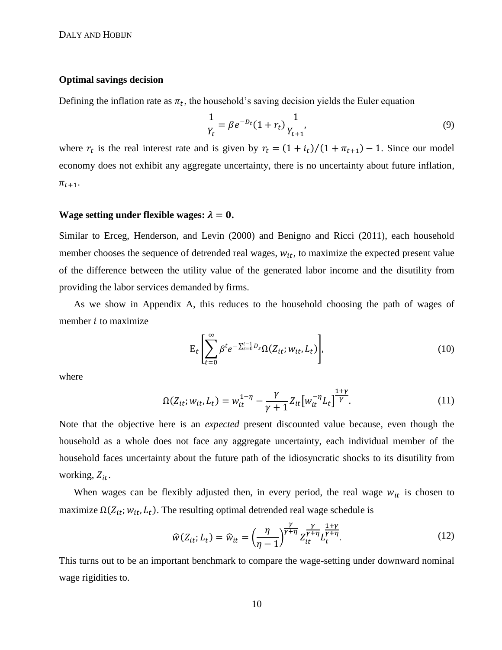#### **Optimal savings decision**

Defining the inflation rate as  $\pi_t$ , the household's saving decision yields the Euler equation

<span id="page-10-1"></span>
$$
\frac{1}{Y_t} = \beta e^{-D_t} (1 + r_t) \frac{1}{Y_{t+1}},
$$
\n(9)

where  $r_t$  is the real interest rate and is given by  $r_t = (1 + i_t)/(1 + \pi_{t+1}) - 1$ . Since our model economy does not exhibit any aggregate uncertainty, there is no uncertainty about future inflation,  $\pi_{t+1}$ .

### **Wage setting under flexible wages:**  $\lambda = 0$ .

Similar to Erceg, Henderson, and Levin (2000) and Benigno and Ricci (2011), each household member chooses the sequence of detrended real wages,  $w_{it}$ , to maximize the expected present value of the difference between the utility value of the generated labor income and the disutility from providing the labor services demanded by firms.

As we show in Appendix [A,](#page-32-0) this reduces to the household choosing the path of wages of member  $i$  to maximize

<span id="page-10-0"></span>
$$
E_t\left[\sum_{t=0}^{\infty} \beta^t e^{-\sum_{s=0}^{t-1} D_s} \Omega(Z_{it}; w_{it}, L_t)\right],
$$
\n(10)

where

$$
\Omega(Z_{it}; w_{it}, L_t) = w_{it}^{1-\eta} - \frac{\gamma}{\gamma + 1} Z_{it} \left[ w_{it}^{-\eta} L_t \right]^{\frac{1+\gamma}{\gamma}}.
$$
\n(11)

Note that the objective here is an *expected* present discounted value because, even though the household as a whole does not face any aggregate uncertainty, each individual member of the household faces uncertainty about the future path of the idiosyncratic shocks to its disutility from working,  $Z_{it}$ .

When wages can be flexibly adjusted then, in every period, the real wage  $w_{it}$  is chosen to maximize  $\Omega(Z_{it}; w_{it}, L_t)$ . The resulting optimal detrended real wage schedule is

<span id="page-10-2"></span>
$$
\widehat{w}(Z_{it}; L_t) = \widehat{w}_{it} = \left(\frac{\eta}{\eta - 1}\right)^{\frac{\gamma}{\gamma + \eta}} Z_{it}^{\frac{\gamma}{\gamma + \eta}} L_t^{\frac{1 + \gamma}{\gamma + \eta}}.
$$
\n(12)

This turns out to be an important benchmark to compare the wage-setting under downward nominal wage rigidities to.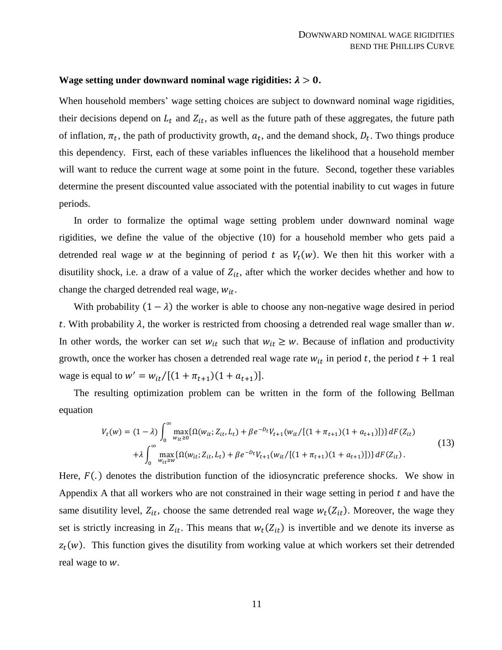#### **Wage setting under downward nominal wage rigidities:**  $\lambda > 0$ .

When household members' wage setting choices are subject to downward nominal wage rigidities, their decisions depend on  $L_t$  and  $Z_{it}$ , as well as the future path of these aggregates, the future path of inflation,  $\pi_t$ , the path of productivity growth,  $a_t$ , and the demand shock,  $D_t$ . Two things produce this dependency. First, each of these variables influences the likelihood that a household member will want to reduce the current wage at some point in the future. Second, together these variables determine the present discounted value associated with the potential inability to cut wages in future periods.

In order to formalize the optimal wage setting problem under downward nominal wage rigidities, we define the value of the objective [\(10\)](#page-10-0) for a household member who gets paid a detrended real wage w at the beginning of period t as  $V_t(w)$ . We then hit this worker with a disutility shock, i.e. a draw of a value of  $Z_{it}$ , after which the worker decides whether and how to change the charged detrended real wage,  $w_{it}$ .

With probability  $(1 - \lambda)$  the worker is able to choose any non-negative wage desired in period t. With probability  $\lambda$ , the worker is restricted from choosing a detrended real wage smaller than  $w$ . In other words, the worker can set  $w_{it}$  such that  $w_{it} \geq w$ . Because of inflation and productivity growth, once the worker has chosen a detrended real wage rate  $w_{it}$  in period t, the period  $t + 1$  real wage is equal to  $w' = w_{it}/[(1 + \pi_{t+1})(1 + a_{t+1})]$ .

The resulting optimization problem can be written in the form of the following Bellman equation

<span id="page-11-0"></span>
$$
V_t(w) = (1 - \lambda) \int_0^{\infty} \max_{w_{it} \ge 0} \{ \Omega(w_{it}; Z_{it}, L_t) + \beta e^{-D_t} V_{t+1}(w_{it}/[(1 + \pi_{t+1})(1 + a_{t+1})]) \} dF(Z_{it})
$$
  
+  $\lambda \int_0^{\infty} \max_{w_{it} \ge w} \{ \Omega(w_{it}; Z_{it}, L_t) + \beta e^{-D_t} V_{t+1}(w_{it}/[(1 + \pi_{t+1})(1 + a_{t+1})]) \} dF(Z_{it}).$  (13)

Here,  $F(.)$  denotes the distribution function of the idiosyncratic preference shocks. We show in Appendix [A](#page-32-0) that all workers who are not constrained in their wage setting in period  $t$  and have the same disutility level,  $Z_{it}$ , choose the same detrended real wage  $w_t(Z_{it})$ . Moreover, the wage they set is strictly increasing in  $Z_{it}$ . This means that  $w_t(Z_{it})$  is invertible and we denote its inverse as  $z_t(w)$ . This function gives the disutility from working value at which workers set their detrended real wage to  $w$ .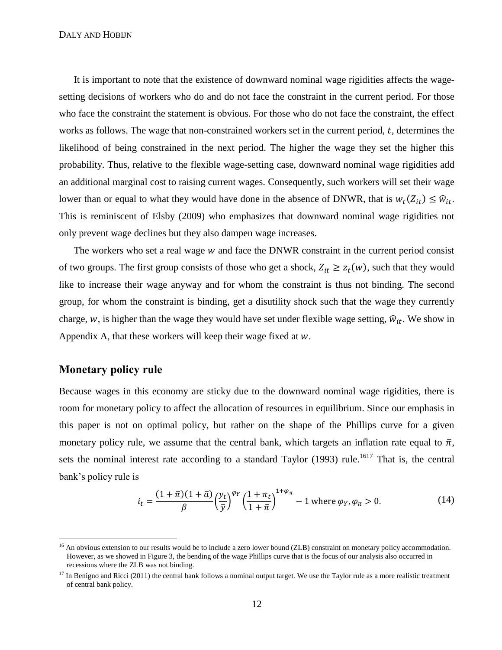It is important to note that the existence of downward nominal wage rigidities affects the wagesetting decisions of workers who do and do not face the constraint in the current period. For those who face the constraint the statement is obvious. For those who do not face the constraint, the effect works as follows. The wage that non-constrained workers set in the current period,  $t$ , determines the likelihood of being constrained in the next period. The higher the wage they set the higher this probability. Thus, relative to the flexible wage-setting case, downward nominal wage rigidities add an additional marginal cost to raising current wages. Consequently, such workers will set their wage lower than or equal to what they would have done in the absence of DNWR, that is  $w_t(Z_{it}) \leq \hat{w}_{it}$ . This is reminiscent of Elsby (2009) who emphasizes that downward nominal wage rigidities not only prevent wage declines but they also dampen wage increases.

The workers who set a real wage  $w$  and face the DNWR constraint in the current period consist of two groups. The first group consists of those who get a shock,  $Z_{it} \geq z_t(w)$ , such that they would like to increase their wage anyway and for whom the constraint is thus not binding. The second group, for whom the constraint is binding, get a disutility shock such that the wage they currently charge, w, is higher than the wage they would have set under flexible wage setting,  $\hat{w}_{it}$ . We show in Appendix [A,](#page-32-0) that these workers will keep their wage fixed at  $w$ .

# **Monetary policy rule**

 $\overline{a}$ 

Because wages in this economy are sticky due to the downward nominal wage rigidities, there is room for monetary policy to affect the allocation of resources in equilibrium. Since our emphasis in this paper is not on optimal policy, but rather on the shape of the Phillips curve for a given monetary policy rule, we assume that the central bank, which targets an inflation rate equal to  $\bar{\pi}$ , sets the nominal interest rate according to a standard Taylor (1993) rule.<sup>1617</sup> That is, the central bank's policy rule is

<span id="page-12-0"></span>
$$
i_t = \frac{(1+\bar{\pi})(1+\bar{a})}{\beta} \left(\frac{y_t}{\bar{y}}\right)^{\varphi_Y} \left(\frac{1+\pi_t}{1+\bar{\pi}}\right)^{1+\varphi_\pi} - 1 \text{ where } \varphi_Y, \varphi_\pi > 0. \tag{14}
$$

<sup>&</sup>lt;sup>16</sup> An obvious extension to our results would be to include a zero lower bound (ZLB) constraint on monetary policy accommodation. However, as we showed in Figure [3,](#page-44-1) the bending of the wage Phillips curve that is the focus of our analysis also occurred in recessions where the ZLB was not binding.

 $17$  In Benigno and Ricci (2011) the central bank follows a nominal output target. We use the Taylor rule as a more realistic treatment of central bank policy.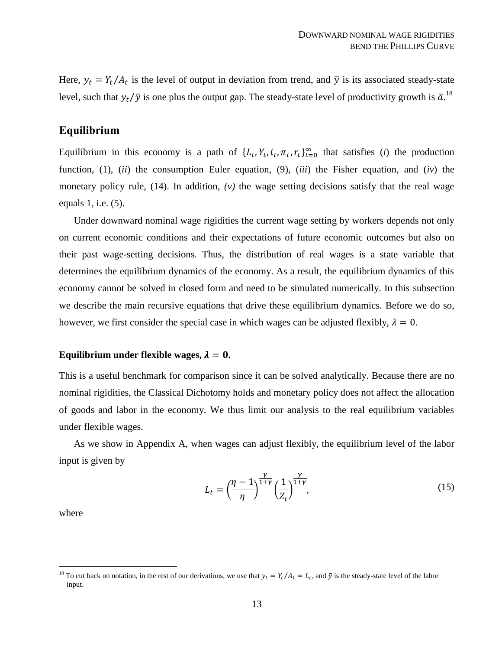Here,  $y_t = Y_t/A_t$  is the level of output in deviation from trend, and  $\bar{y}$  is its associated steady-state level, such that  $y_t/\bar{y}$  is one plus the output gap. The steady-state level of productivity growth is  $\bar{a}$ .<sup>18</sup>

### **Equilibrium**

Equilibrium in this economy is a path of  $\{L_t, Y_t, i_t, \pi_t, r_t\}_{t=0}^{\infty}$  that satisfies (*i*) the production function, [\(1\),](#page-7-2) (*ii*) the consumption Euler equation, [\(9\),](#page-10-1) (*iii*) the Fisher equation, and (*iv*) the monetary policy rule, [\(14\).](#page-12-0) In addition, *(v)* the wage setting decisions satisfy that the real wage equals 1, i.e. [\(5\).](#page-8-0)

Under downward nominal wage rigidities the current wage setting by workers depends not only on current economic conditions and their expectations of future economic outcomes but also on their past wage-setting decisions. Thus, the distribution of real wages is a state variable that determines the equilibrium dynamics of the economy. As a result, the equilibrium dynamics of this economy cannot be solved in closed form and need to be simulated numerically. In this subsection we describe the main recursive equations that drive these equilibrium dynamics. Before we do so, however, we first consider the special case in which wages can be adjusted flexibly,  $\lambda = 0$ .

### **Equilibrium under flexible wages,**  $\lambda = 0$ **.**

This is a useful benchmark for comparison since it can be solved analytically. Because there are no nominal rigidities, the Classical Dichotomy holds and monetary policy does not affect the allocation of goods and labor in the economy. We thus limit our analysis to the real equilibrium variables under flexible wages.

As we show in Appendix [A,](#page-32-0) when wages can adjust flexibly, the equilibrium level of the labor input is given by

<span id="page-13-0"></span>
$$
L_t = \left(\frac{\eta - 1}{\eta}\right)^{\frac{\gamma}{1+\gamma}} \left(\frac{1}{Z_t}\right)^{\frac{\gamma}{1+\gamma}},\tag{15}
$$

where

 $\overline{a}$ 

<sup>&</sup>lt;sup>18</sup> To cut back on notation, in the rest of our derivations, we use that  $y_t = Y_t/A_t = L_t$ , and  $\bar{y}$  is the steady-state level of the labor input.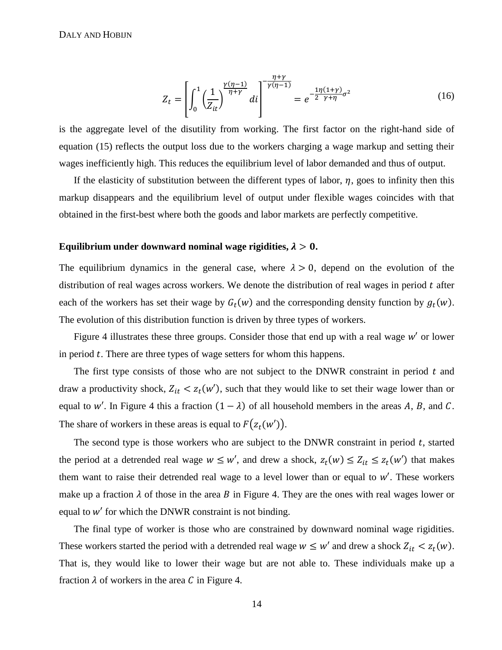$$
Z_t = \left[ \int_0^1 \left( \frac{1}{Z_{it}} \right)^{\frac{\gamma(\eta - 1)}{\eta + \gamma}} di \right]^{\frac{\eta + \gamma}{\gamma(\eta - 1)}} = e^{-\frac{1\eta(1 + \gamma)}{2\gamma + \eta}\sigma^2}
$$
(16)

is the aggregate level of the disutility from working. The first factor on the right-hand side of equation [\(15\)](#page-13-0) reflects the output loss due to the workers charging a wage markup and setting their wages inefficiently high. This reduces the equilibrium level of labor demanded and thus of output.

If the elasticity of substitution between the different types of labor,  $\eta$ , goes to infinity then this markup disappears and the equilibrium level of output under flexible wages coincides with that obtained in the first-best where both the goods and labor markets are perfectly competitive.

#### Equilibrium under downward nominal wage rigidities,  $\lambda > 0$ .

The equilibrium dynamics in the general case, where  $\lambda > 0$ , depend on the evolution of the distribution of real wages across workers. We denote the distribution of real wages in period  $t$  after each of the workers has set their wage by  $G_t(w)$  and the corresponding density function by  $g_t(w)$ . The evolution of this distribution function is driven by three types of workers.

Figure [4](#page-45-0) illustrates these three groups. Consider those that end up with a real wage  $w'$  or lower in period  $t$ . There are three types of wage setters for whom this happens.

The first type consists of those who are not subject to the DNWR constraint in period  $t$  and draw a productivity shock,  $Z_{it} < z_t(w')$ , such that they would like to set their wage lower than or equal to w'. In Figure [4](#page-45-0) this a fraction  $(1 - \lambda)$  of all household members in the areas A, B, and C. The share of workers in these areas is equal to  $F(z_t(w'))$ .

The second type is those workers who are subject to the DNWR constraint in period  $t$ , started the period at a detrended real wage  $w \leq w'$ , and drew a shock,  $z_t(w) \leq Z_{it} \leq z_t(w')$  that makes them want to raise their detrended real wage to a level lower than or equal to  $w'$ . These workers make up a fraction  $\lambda$  of those in the area B in Figure [4.](#page-45-0) They are the ones with real wages lower or equal to  $w'$  for which the DNWR constraint is not binding.

The final type of worker is those who are constrained by downward nominal wage rigidities. These workers started the period with a detrended real wage  $w \leq w'$  and drew a shock  $Z_{it} < z_t(w)$ . That is, they would like to lower their wage but are not able to. These individuals make up a fraction  $\lambda$  of workers in the area C in Figure [4.](#page-45-0)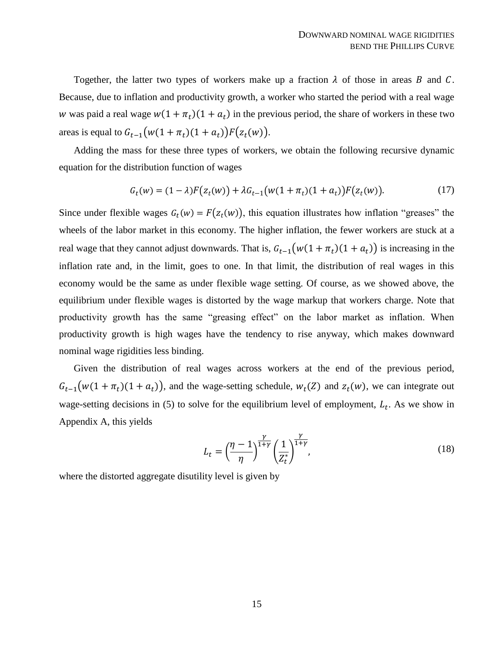Together, the latter two types of workers make up a fraction  $\lambda$  of those in areas B and C. Because, due to inflation and productivity growth, a worker who started the period with a real wage w was paid a real wage  $w(1 + \pi_t)(1 + a_t)$  in the previous period, the share of workers in these two areas is equal to  $G_{t-1}(w(1 + \pi_t)(1 + a_t))F(z_t(w))$ .

Adding the mass for these three types of workers, we obtain the following recursive dynamic equation for the distribution function of wages

<span id="page-15-1"></span>
$$
G_t(w) = (1 - \lambda)F(z_t(w)) + \lambda G_{t-1}(w(1 + \pi_t)(1 + a_t))F(z_t(w)).
$$
\n(17)

Since under flexible wages  $G_t(w) = F(z_t(w))$ , this equation illustrates how inflation "greases" the wheels of the labor market in this economy. The higher inflation, the fewer workers are stuck at a real wage that they cannot adjust downwards. That is,  $G_{t-1}(w(1+\pi_t)(1+a_t))$  is increasing in the inflation rate and, in the limit, goes to one. In that limit, the distribution of real wages in this economy would be the same as under flexible wage setting. Of course, as we showed above, the equilibrium under flexible wages is distorted by the wage markup that workers charge. Note that productivity growth has the same "greasing effect" on the labor market as inflation. When productivity growth is high wages have the tendency to rise anyway, which makes downward nominal wage rigidities less binding.

Given the distribution of real wages across workers at the end of the previous period,  $G_{t-1}(w(1+\pi_t)(1+a_t))$ , and the wage-setting schedule,  $w_t(Z)$  and  $z_t(w)$ , we can integrate out wage-setting decisions in [\(5\)](#page-8-0) to solve for the equilibrium level of employment,  $L_t$ . As we show in Appendix [A,](#page-32-0) this yields

<span id="page-15-0"></span>
$$
L_t = \left(\frac{\eta - 1}{\eta}\right)^{\frac{\gamma}{1+\gamma}} \left(\frac{1}{Z_t^*}\right)^{\frac{\gamma}{1+\gamma}},\tag{18}
$$

where the distorted aggregate disutility level is given by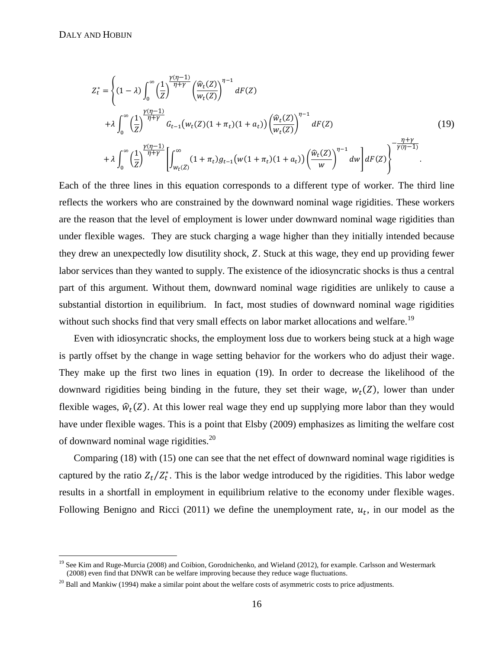$\overline{a}$ 

<span id="page-16-0"></span>
$$
Z_{t}^{*} = \left\{ (1 - \lambda) \int_{0}^{\infty} \left( \frac{1}{Z} \right)^{\frac{\gamma(\eta - 1)}{\eta + \gamma}} \left( \frac{\hat{w}_{t}(Z)}{w_{t}(Z)} \right)^{\eta - 1} dF(Z) + \lambda \int_{0}^{\infty} \left( \frac{1}{Z} \right)^{\frac{\gamma(\eta - 1)}{\eta + \gamma}} G_{t-1}(w_{t}(Z)(1 + \pi_{t})(1 + a_{t})) \left( \frac{\hat{w}_{t}(Z)}{w_{t}(Z)} \right)^{\eta - 1} dF(Z) + \lambda \int_{0}^{\infty} \left( \frac{1}{Z} \right)^{\frac{\gamma(\eta - 1)}{\eta + \gamma}} \left[ \int_{w_{t}(Z)}^{\infty} (1 + \pi_{t}) g_{t-1}(w(1 + \pi_{t})(1 + a_{t})) \left( \frac{\hat{w}_{t}(Z)}{w} \right)^{\eta - 1} dw \right] dF(Z) \right\}^{-\frac{\eta + \gamma}{\gamma(\eta - 1)}}.
$$
\n(19)

Each of the three lines in this equation corresponds to a different type of worker. The third line reflects the workers who are constrained by the downward nominal wage rigidities. These workers are the reason that the level of employment is lower under downward nominal wage rigidities than under flexible wages. They are stuck charging a wage higher than they initially intended because they drew an unexpectedly low disutility shock, Z. Stuck at this wage, they end up providing fewer labor services than they wanted to supply. The existence of the idiosyncratic shocks is thus a central part of this argument. Without them, downward nominal wage rigidities are unlikely to cause a substantial distortion in equilibrium. In fact, most studies of downward nominal wage rigidities without such shocks find that very small effects on labor market allocations and welfare.<sup>19</sup>

Even with idiosyncratic shocks, the employment loss due to workers being stuck at a high wage is partly offset by the change in wage setting behavior for the workers who do adjust their wage. They make up the first two lines in equation [\(19\).](#page-16-0) In order to decrease the likelihood of the downward rigidities being binding in the future, they set their wage,  $w_t(Z)$ , lower than under flexible wages,  $\hat{w}_t(Z)$ . At this lower real wage they end up supplying more labor than they would have under flexible wages. This is a point that Elsby (2009) emphasizes as limiting the welfare cost of downward nominal wage rigidities.<sup>20</sup>

Comparing [\(18\)](#page-15-0) with [\(15\)](#page-13-0) one can see that the net effect of downward nominal wage rigidities is captured by the ratio  $Z_t/Z_t^*$ . This is the labor wedge introduced by the rigidities. This labor wedge results in a shortfall in employment in equilibrium relative to the economy under flexible wages. Following Benigno and Ricci (2011) we define the unemployment rate,  $u_t$ , in our model as the

<sup>&</sup>lt;sup>19</sup> See Kim and Ruge-Murcia (2008) and Coibion, Gorodnichenko, and Wieland (2012), for example. Carlsson and Westermark (2008) even find that DNWR can be welfare improving because they reduce wage fluctuations.

 $20$  Ball and Mankiw (1994) make a similar point about the welfare costs of asymmetric costs to price adjustments.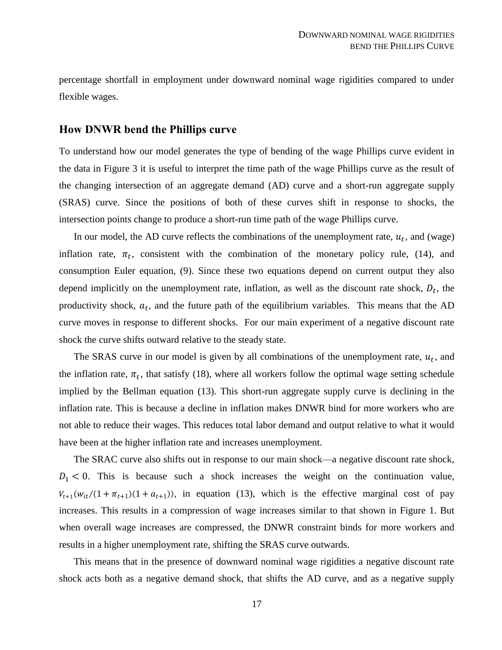percentage shortfall in employment under downward nominal wage rigidities compared to under flexible wages.

## **How DNWR bend the Phillips curve**

To understand how our model generates the type of bending of the wage Phillips curve evident in the data in Figure [3](#page-44-1) it is useful to interpret the time path of the wage Phillips curve as the result of the changing intersection of an aggregate demand (AD) curve and a short-run aggregate supply (SRAS) curve. Since the positions of both of these curves shift in response to shocks, the intersection points change to produce a short-run time path of the wage Phillips curve.

In our model, the AD curve reflects the combinations of the unemployment rate,  $u_t$ , and (wage) inflation rate,  $\pi_t$ , consistent with the combination of the monetary policy rule, [\(14\),](#page-12-0) and consumption Euler equation, [\(9\).](#page-10-1) Since these two equations depend on current output they also depend implicitly on the unemployment rate, inflation, as well as the discount rate shock,  $D_t$ , the productivity shock,  $a_t$ , and the future path of the equilibrium variables. This means that the AD curve moves in response to different shocks. For our main experiment of a negative discount rate shock the curve shifts outward relative to the steady state.

The SRAS curve in our model is given by all combinations of the unemployment rate,  $u_t$ , and the inflation rate,  $\pi_t$ , that satisfy [\(18\),](#page-15-0) where all workers follow the optimal wage setting schedule implied by the Bellman equation [\(13\).](#page-11-0) This short-run aggregate supply curve is declining in the inflation rate. This is because a decline in inflation makes DNWR bind for more workers who are not able to reduce their wages. This reduces total labor demand and output relative to what it would have been at the higher inflation rate and increases unemployment.

The SRAC curve also shifts out in response to our main shock—a negative discount rate shock,  $D_1 < 0$ . This is because such a shock increases the weight on the continuation value,  $V_{t+1}(w_{it}/(1+\pi_{t+1})(1+a_{t+1}))$ , in equation [\(13\),](#page-11-0) which is the effective marginal cost of pay increases. This results in a compression of wage increases similar to that shown in Figure [1.](#page-43-0) But when overall wage increases are compressed, the DNWR constraint binds for more workers and results in a higher unemployment rate, shifting the SRAS curve outwards.

This means that in the presence of downward nominal wage rigidities a negative discount rate shock acts both as a negative demand shock, that shifts the AD curve, and as a negative supply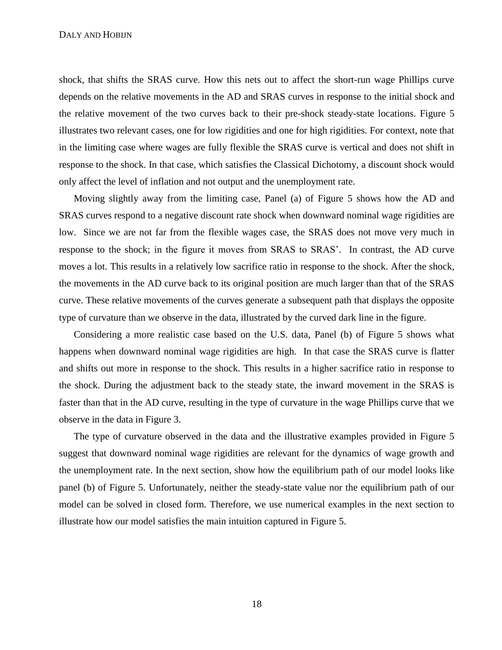shock, that shifts the SRAS curve. How this nets out to affect the short-run wage Phillips curve depends on the relative movements in the AD and SRAS curves in response to the initial shock and the relative movement of the two curves back to their pre-shock steady-state locations. Figure [5](#page-46-0) illustrates two relevant cases, one for low rigidities and one for high rigidities. For context, note that in the limiting case where wages are fully flexible the SRAS curve is vertical and does not shift in response to the shock. In that case, which satisfies the Classical Dichotomy, a discount shock would only affect the level of inflation and not output and the unemployment rate.

Moving slightly away from the limiting case, Panel (a) of Figure [5](#page-46-0) shows how the AD and SRAS curves respond to a negative discount rate shock when downward nominal wage rigidities are low. Since we are not far from the flexible wages case, the SRAS does not move very much in response to the shock; in the figure it moves from SRAS to SRAS'. In contrast, the AD curve moves a lot. This results in a relatively low sacrifice ratio in response to the shock. After the shock, the movements in the AD curve back to its original position are much larger than that of the SRAS curve. These relative movements of the curves generate a subsequent path that displays the opposite type of curvature than we observe in the data, illustrated by the curved dark line in the figure.

Considering a more realistic case based on the U.S. data, Panel (b) of Figure [5](#page-46-0) shows what happens when downward nominal wage rigidities are high. In that case the SRAS curve is flatter and shifts out more in response to the shock. This results in a higher sacrifice ratio in response to the shock. During the adjustment back to the steady state, the inward movement in the SRAS is faster than that in the AD curve, resulting in the type of curvature in the wage Phillips curve that we observe in the data in Figure [3.](#page-44-1)

The type of curvature observed in the data and the illustrative examples provided in Figure [5](#page-46-0) suggest that downward nominal wage rigidities are relevant for the dynamics of wage growth and the unemployment rate. In the next section, show how the equilibrium path of our model looks like panel (b) of Figure [5.](#page-46-0) Unfortunately, neither the steady-state value nor the equilibrium path of our model can be solved in closed form. Therefore, we use numerical examples in the next section to illustrate how our model satisfies the main intuition captured in Figure [5.](#page-46-0)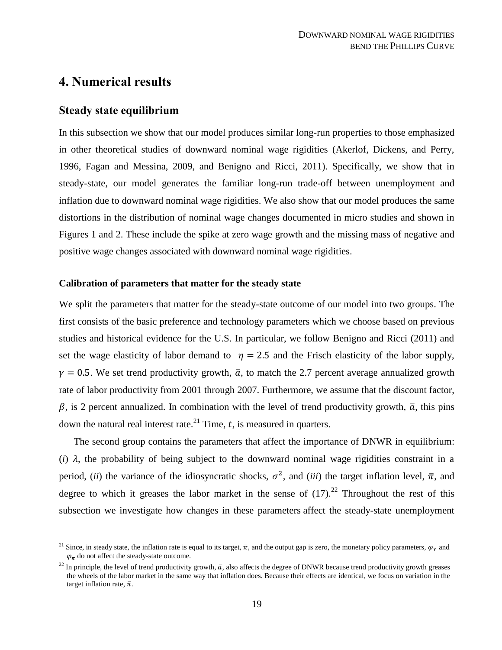# <span id="page-19-0"></span>**4. Numerical results**

### **Steady state equilibrium**

 $\overline{a}$ 

In this subsection we show that our model produces similar long-run properties to those emphasized in other theoretical studies of downward nominal wage rigidities (Akerlof, Dickens, and Perry, 1996, Fagan and Messina, 2009, and Benigno and Ricci, 2011). Specifically, we show that in steady-state, our model generates the familiar long-run trade-off between unemployment and inflation due to downward nominal wage rigidities. We also show that our model produces the same distortions in the distribution of nominal wage changes documented in micro studies and shown in Figures [1](#page-43-0) and [2.](#page-44-0) These include the spike at zero wage growth and the missing mass of negative and positive wage changes associated with downward nominal wage rigidities.

### **Calibration of parameters that matter for the steady state**

We split the parameters that matter for the steady-state outcome of our model into two groups. The first consists of the basic preference and technology parameters which we choose based on previous studies and historical evidence for the U.S. In particular, we follow Benigno and Ricci (2011) and set the wage elasticity of labor demand to  $\eta = 2.5$  and the Frisch elasticity of the labor supply,  $\nu = 0.5$ . We set trend productivity growth,  $\bar{a}$ , to match the 2.7 percent average annualized growth rate of labor productivity from 2001 through 2007. Furthermore, we assume that the discount factor,  $\beta$ , is 2 percent annualized. In combination with the level of trend productivity growth,  $\bar{a}$ , this pins down the natural real interest rate.<sup>21</sup> Time,  $t$ , is measured in quarters.

The second group contains the parameters that affect the importance of DNWR in equilibrium: (*i*)  $\lambda$ , the probability of being subject to the downward nominal wage rigidities constraint in a period, *(ii)* the variance of the idiosyncratic shocks,  $\sigma^2$ , and *(iii)* the target inflation level,  $\bar{\pi}$ , and degree to which it greases the labor market in the sense of  $(17)$ .<sup>22</sup> Throughout the rest of this subsection we investigate how changes in these parameters affect the steady-state unemployment

<sup>&</sup>lt;sup>21</sup> Since, in steady state, the inflation rate is equal to its target,  $\bar{\pi}$ , and the output gap is zero, the monetary policy parameters,  $\varphi$ <sub>y</sub> and  $\varphi_{\pi}$  do not affect the steady-state outcome.

<sup>&</sup>lt;sup>22</sup> In principle, the level of trend productivity growth,  $\bar{a}$ , also affects the degree of DNWR because trend productivity growth greases the wheels of the labor market in the same way that inflation does. Because their effects are identical, we focus on variation in the target inflation rate,  $\bar{\pi}$ .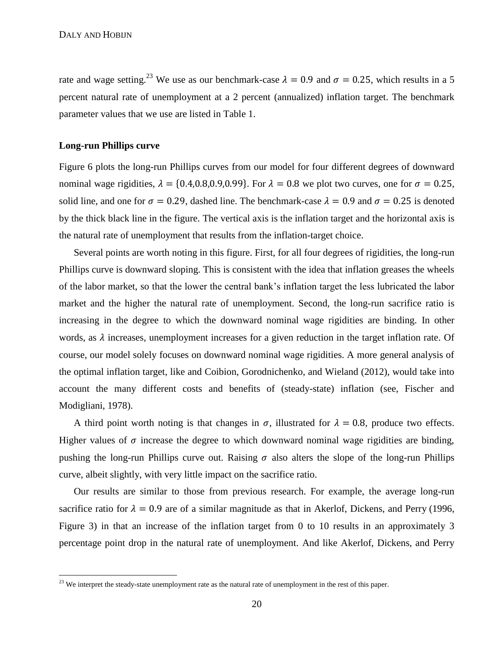rate and wage setting.<sup>23</sup> We use as our benchmark-case  $\lambda = 0.9$  and  $\sigma = 0.25$ , which results in a 5 percent natural rate of unemployment at a 2 percent (annualized) inflation target. The benchmark parameter values that we use are listed in Table [1.](#page-43-1)

#### **Long-run Phillips curve**

 $\overline{a}$ 

Figure [6](#page-47-0) plots the long-run Phillips curves from our model for four different degrees of downward nominal wage rigidities,  $\lambda = \{0.4, 0.8, 0.9, 0.99\}$ . For  $\lambda = 0.8$  we plot two curves, one for  $\sigma = 0.25$ , solid line, and one for  $\sigma = 0.29$ , dashed line. The benchmark-case  $\lambda = 0.9$  and  $\sigma = 0.25$  is denoted by the thick black line in the figure. The vertical axis is the inflation target and the horizontal axis is the natural rate of unemployment that results from the inflation-target choice.

Several points are worth noting in this figure. First, for all four degrees of rigidities, the long-run Phillips curve is downward sloping. This is consistent with the idea that inflation greases the wheels of the labor market, so that the lower the central bank's inflation target the less lubricated the labor market and the higher the natural rate of unemployment. Second, the long-run sacrifice ratio is increasing in the degree to which the downward nominal wage rigidities are binding. In other words, as  $\lambda$  increases, unemployment increases for a given reduction in the target inflation rate. Of course, our model solely focuses on downward nominal wage rigidities. A more general analysis of the optimal inflation target, like and Coibion, Gorodnichenko, and Wieland (2012), would take into account the many different costs and benefits of (steady-state) inflation (see, Fischer and Modigliani, 1978).

A third point worth noting is that changes in  $\sigma$ , illustrated for  $\lambda = 0.8$ , produce two effects. Higher values of  $\sigma$  increase the degree to which downward nominal wage rigidities are binding, pushing the long-run Phillips curve out. Raising  $\sigma$  also alters the slope of the long-run Phillips curve, albeit slightly, with very little impact on the sacrifice ratio.

Our results are similar to those from previous research. For example, the average long-run sacrifice ratio for  $\lambda = 0.9$  are of a similar magnitude as that in Akerlof, Dickens, and Perry (1996, Figure 3) in that an increase of the inflation target from 0 to 10 results in an approximately 3 percentage point drop in the natural rate of unemployment. And like Akerlof, Dickens, and Perry

<sup>&</sup>lt;sup>23</sup> We interpret the steady-state unemployment rate as the natural rate of unemployment in the rest of this paper.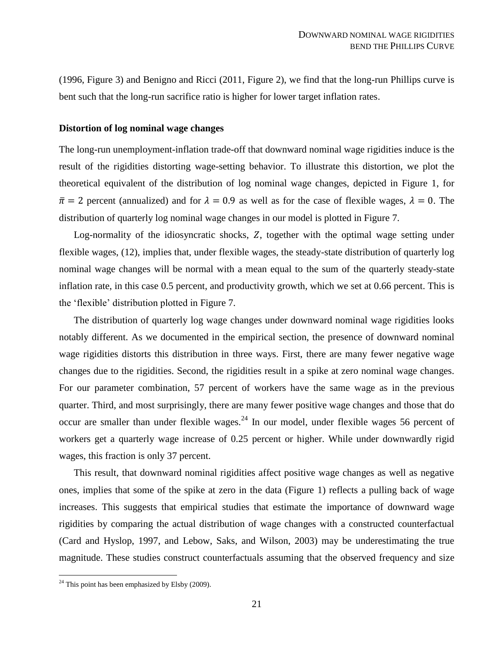(1996, Figure 3) and Benigno and Ricci (2011, Figure 2), we find that the long-run Phillips curve is bent such that the long-run sacrifice ratio is higher for lower target inflation rates.

#### **Distortion of log nominal wage changes**

The long-run unemployment-inflation trade-off that downward nominal wage rigidities induce is the result of the rigidities distorting wage-setting behavior. To illustrate this distortion, we plot the theoretical equivalent of the distribution of log nominal wage changes, depicted in Figure [1,](#page-43-0) for  $\bar{\pi}$  = 2 percent (annualized) and for  $\lambda$  = 0.9 as well as for the case of flexible wages,  $\lambda$  = 0. The distribution of quarterly log nominal wage changes in our model is plotted in Figure [7.](#page-47-1)

Log-normality of the idiosyncratic shocks,  $Z$ , together with the optimal wage setting under flexible wages, [\(12\),](#page-10-2) implies that, under flexible wages, the steady-state distribution of quarterly log nominal wage changes will be normal with a mean equal to the sum of the quarterly steady-state inflation rate, in this case 0.5 percent, and productivity growth, which we set at 0.66 percent. This is the 'flexible' distribution plotted in Figure [7.](#page-47-1)

The distribution of quarterly log wage changes under downward nominal wage rigidities looks notably different. As we documented in the empirical section, the presence of downward nominal wage rigidities distorts this distribution in three ways. First, there are many fewer negative wage changes due to the rigidities. Second, the rigidities result in a spike at zero nominal wage changes. For our parameter combination, 57 percent of workers have the same wage as in the previous quarter. Third, and most surprisingly, there are many fewer positive wage changes and those that do occur are smaller than under flexible wages.<sup>24</sup> In our model, under flexible wages 56 percent of workers get a quarterly wage increase of 0.25 percent or higher. While under downwardly rigid wages, this fraction is only 37 percent.

This result, that downward nominal rigidities affect positive wage changes as well as negative ones, implies that some of the spike at zero in the data (Figure [1\)](#page-43-0) reflects a pulling back of wage increases. This suggests that empirical studies that estimate the importance of downward wage rigidities by comparing the actual distribution of wage changes with a constructed counterfactual (Card and Hyslop, 1997, and Lebow, Saks, and Wilson, 2003) may be underestimating the true magnitude. These studies construct counterfactuals assuming that the observed frequency and size

 $\overline{a}$ 

 $24$  This point has been emphasized by Elsby (2009).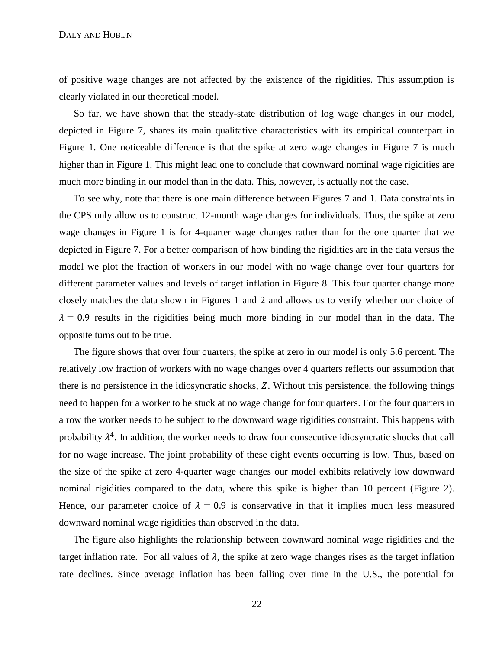of positive wage changes are not affected by the existence of the rigidities. This assumption is clearly violated in our theoretical model.

So far, we have shown that the steady-state distribution of log wage changes in our model, depicted in Figure [7,](#page-47-1) shares its main qualitative characteristics with its empirical counterpart in Figure [1.](#page-43-0) One noticeable difference is that the spike at zero wage changes in Figure [7](#page-47-1) is much higher than in Figure [1.](#page-43-0) This might lead one to conclude that downward nominal wage rigidities are much more binding in our model than in the data. This, however, is actually not the case.

To see why, note that there is one main difference between Figures [7](#page-47-1) and [1.](#page-43-0) Data constraints in the CPS only allow us to construct 12-month wage changes for individuals. Thus, the spike at zero wage changes in Figure [1](#page-43-0) is for 4-quarter wage changes rather than for the one quarter that we depicted in Figure [7.](#page-47-1) For a better comparison of how binding the rigidities are in the data versus the model we plot the fraction of workers in our model with no wage change over four quarters for different parameter values and levels of target inflation in Figure [8.](#page-48-0) This four quarter change more closely matches the data shown in Figures [1](#page-43-0) and [2](#page-44-0) and allows us to verify whether our choice of  $\lambda = 0.9$  results in the rigidities being much more binding in our model than in the data. The opposite turns out to be true.

The figure shows that over four quarters, the spike at zero in our model is only 5.6 percent. The relatively low fraction of workers with no wage changes over 4 quarters reflects our assumption that there is no persistence in the idiosyncratic shocks, Z. Without this persistence, the following things need to happen for a worker to be stuck at no wage change for four quarters. For the four quarters in a row the worker needs to be subject to the downward wage rigidities constraint. This happens with probability  $\lambda^4$ . In addition, the worker needs to draw four consecutive idiosyncratic shocks that call for no wage increase. The joint probability of these eight events occurring is low. Thus, based on the size of the spike at zero 4-quarter wage changes our model exhibits relatively low downward nominal rigidities compared to the data, where this spike is higher than 10 percent (Figure [2\)](#page-44-0). Hence, our parameter choice of  $\lambda = 0.9$  is conservative in that it implies much less measured downward nominal wage rigidities than observed in the data.

The figure also highlights the relationship between downward nominal wage rigidities and the target inflation rate. For all values of  $\lambda$ , the spike at zero wage changes rises as the target inflation rate declines. Since average inflation has been falling over time in the U.S., the potential for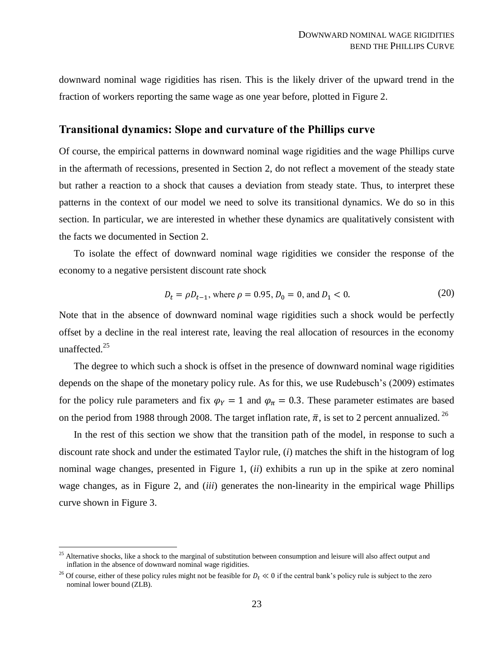(20)

downward nominal wage rigidities has risen. This is the likely driver of the upward trend in the fraction of workers reporting the same wage as one year before, plotted in Figure [2.](#page-44-0)

### **Transitional dynamics: Slope and curvature of the Phillips curve**

Of course, the empirical patterns in downward nominal wage rigidities and the wage Phillips curve in the aftermath of recessions, presented in Section [2,](#page-4-0) do not reflect a movement of the steady state but rather a reaction to a shock that causes a deviation from steady state. Thus, to interpret these patterns in the context of our model we need to solve its transitional dynamics. We do so in this section. In particular, we are interested in whether these dynamics are qualitatively consistent with the facts we documented in Section [2.](#page-4-0)

To isolate the effect of downward nominal wage rigidities we consider the response of the economy to a negative persistent discount rate shock

$$
D_t = \rho D_{t-1}, \text{ where } \rho = 0.95, D_0 = 0, \text{ and } D_1 < 0. \tag{20}
$$

Note that in the absence of downward nominal wage rigidities such a shock would be perfectly offset by a decline in the real interest rate, leaving the real allocation of resources in the economy unaffected.<sup>25</sup>

The degree to which such a shock is offset in the presence of downward nominal wage rigidities depends on the shape of the monetary policy rule. As for this, we use Rudebusch's (2009) estimates for the policy rule parameters and fix  $\varphi_Y = 1$  and  $\varphi_\pi = 0.3$ . These parameter estimates are based on the period from 1988 through 2008. The target inflation rate,  $\bar{\pi}$ , is set to 2 percent annualized. <sup>26</sup>

In the rest of this section we show that the transition path of the model, in response to such a discount rate shock and under the estimated Taylor rule, (*i*) matches the shift in the histogram of log nominal wage changes, presented in Figure [1,](#page-43-0) (*ii*) exhibits a run up in the spike at zero nominal wage changes, as in Figure [2,](#page-44-0) and (*iii*) generates the non-linearity in the empirical wage Phillips curve shown in Figure [3.](#page-44-1)

 $\overline{a}$ 

 $25$  Alternative shocks, like a shock to the marginal of substitution between consumption and leisure will also affect output and inflation in the absence of downward nominal wage rigidities.

<sup>&</sup>lt;sup>26</sup> Of course, either of these policy rules might not be feasible for  $D_t \ll 0$  if the central bank's policy rule is subject to the zero nominal lower bound (ZLB).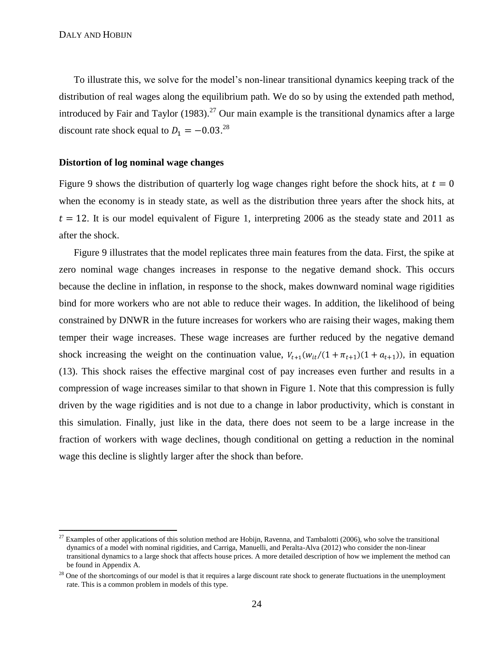$\overline{a}$ 

To illustrate this, we solve for the model's non-linear transitional dynamics keeping track of the distribution of real wages along the equilibrium path. We do so by using the extended path method, introduced by Fair and Taylor (1983).<sup>27</sup> Our main example is the transitional dynamics after a large discount rate shock equal to  $D_1 = -0.03^{28}$ 

### **Distortion of log nominal wage changes**

Figure [9](#page-48-1) shows the distribution of quarterly log wage changes right before the shock hits, at  $t = 0$ when the economy is in steady state, as well as the distribution three years after the shock hits, at  $t = 12$ . It is our model equivalent of Figure [1,](#page-43-0) interpreting 2006 as the steady state and 2011 as after the shock.

Figure [9](#page-48-1) illustrates that the model replicates three main features from the data. First, the spike at zero nominal wage changes increases in response to the negative demand shock. This occurs because the decline in inflation, in response to the shock, makes downward nominal wage rigidities bind for more workers who are not able to reduce their wages. In addition, the likelihood of being constrained by DNWR in the future increases for workers who are raising their wages, making them temper their wage increases. These wage increases are further reduced by the negative demand shock increasing the weight on the continuation value,  $V_{t+1}(w_{it}/(1 + \pi_{t+1})(1 + a_{t+1}))$ , in equation [\(13\).](#page-11-0) This shock raises the effective marginal cost of pay increases even further and results in a compression of wage increases similar to that shown in Figure [1.](#page-43-0) Note that this compression is fully driven by the wage rigidities and is not due to a change in labor productivity, which is constant in this simulation. Finally, just like in the data, there does not seem to be a large increase in the fraction of workers with wage declines, though conditional on getting a reduction in the nominal wage this decline is slightly larger after the shock than before.

 $^{27}$  Examples of other applications of this solution method are Hobijn, Ravenna, and Tambalotti (2006), who solve the transitional dynamics of a model with nominal rigidities, and Carriga, Manuelli, and Peralta-Alva (2012) who consider the non-linear transitional dynamics to a large shock that affects house prices. A more detailed description of how we implement the method can be found in Appendi[x A.](#page-32-0)

 $^{28}$  One of the shortcomings of our model is that it requires a large discount rate shock to generate fluctuations in the unemployment rate. This is a common problem in models of this type.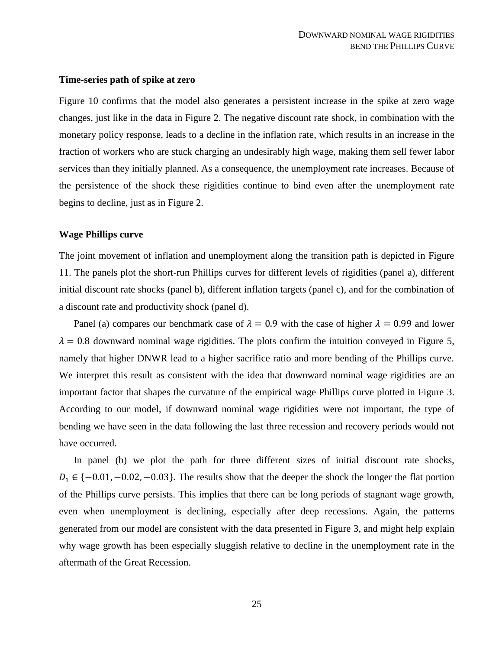### **Time-series path of spike at zero**

Figure [10](#page-49-0) confirms that the model also generates a persistent increase in the spike at zero wage changes, just like in the data in Figure [2.](#page-44-0) The negative discount rate shock, in combination with the monetary policy response, leads to a decline in the inflation rate, which results in an increase in the fraction of workers who are stuck charging an undesirably high wage, making them sell fewer labor services than they initially planned. As a consequence, the unemployment rate increases. Because of the persistence of the shock these rigidities continue to bind even after the unemployment rate begins to decline, just as in Figure [2.](#page-44-0)

#### **Wage Phillips curve**

The joint movement of inflation and unemployment along the transition path is depicted in Figure [11.](#page-50-0) The panels plot the short-run Phillips curves for different levels of rigidities (panel a), different initial discount rate shocks (panel b), different inflation targets (panel c), and for the combination of a discount rate and productivity shock (panel d).

Panel (a) compares our benchmark case of  $\lambda = 0.9$  with the case of higher  $\lambda = 0.99$  and lower  $\lambda = 0.8$  downward nominal wage rigidities. The plots confirm the intuition conveyed in Figure [5,](#page-46-0) namely that higher DNWR lead to a higher sacrifice ratio and more bending of the Phillips curve. We interpret this result as consistent with the idea that downward nominal wage rigidities are an important factor that shapes the curvature of the empirical wage Phillips curve plotted in Figure [3.](#page-44-1) According to our model, if downward nominal wage rigidities were not important, the type of bending we have seen in the data following the last three recession and recovery periods would not have occurred.

In panel (b) we plot the path for three different sizes of initial discount rate shocks,  $D_1 \in \{-0.01, -0.02, -0.03\}$ . The results show that the deeper the shock the longer the flat portion of the Phillips curve persists. This implies that there can be long periods of stagnant wage growth, even when unemployment is declining, especially after deep recessions. Again, the patterns generated from our model are consistent with the data presented in Figure [3,](#page-44-1) and might help explain why wage growth has been especially sluggish relative to decline in the unemployment rate in the aftermath of the Great Recession.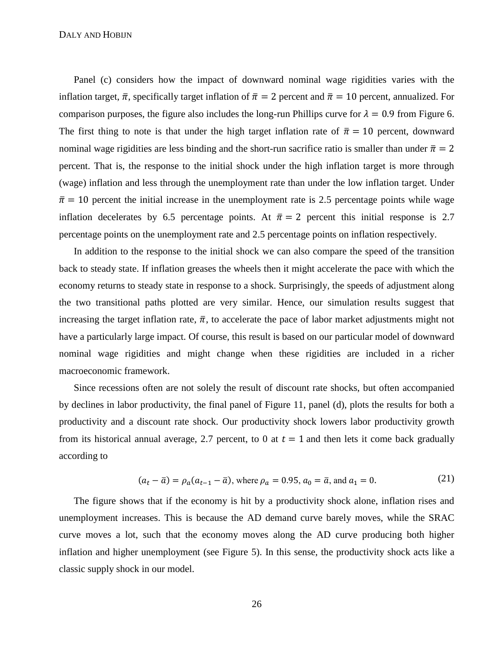Panel (c) considers how the impact of downward nominal wage rigidities varies with the inflation target,  $\bar{\pi}$ , specifically target inflation of  $\bar{\pi} = 2$  percent and  $\bar{\pi} = 10$  percent, annualized. For comparison purposes, the figure also includes the long-run Phillips curve for  $\lambda = 0.9$  from Figure [6.](#page-47-0) The first thing to note is that under the high target inflation rate of  $\bar{\pi} = 10$  percent, downward nominal wage rigidities are less binding and the short-run sacrifice ratio is smaller than under  $\bar{\pi} = 2$ percent. That is, the response to the initial shock under the high inflation target is more through (wage) inflation and less through the unemployment rate than under the low inflation target. Under  $\bar{\pi}$  = 10 percent the initial increase in the unemployment rate is 2.5 percentage points while wage inflation decelerates by 6.5 percentage points. At  $\bar{\pi} = 2$  percent this initial response is 2.7 percentage points on the unemployment rate and 2.5 percentage points on inflation respectively.

In addition to the response to the initial shock we can also compare the speed of the transition back to steady state. If inflation greases the wheels then it might accelerate the pace with which the economy returns to steady state in response to a shock. Surprisingly, the speeds of adjustment along the two transitional paths plotted are very similar. Hence, our simulation results suggest that increasing the target inflation rate,  $\bar{\pi}$ , to accelerate the pace of labor market adjustments might not have a particularly large impact. Of course, this result is based on our particular model of downward nominal wage rigidities and might change when these rigidities are included in a richer macroeconomic framework.

Since recessions often are not solely the result of discount rate shocks, but often accompanied by declines in labor productivity, the final panel of Figure [11,](#page-50-0) panel (d), plots the results for both a productivity and a discount rate shock. Our productivity shock lowers labor productivity growth from its historical annual average, 2.7 percent, to 0 at  $t = 1$  and then lets it come back gradually according to

$$
(a_t - \bar{a}) = \rho_a (a_{t-1} - \bar{a})
$$
, where  $\rho_a = 0.95$ ,  $a_0 = \bar{a}$ , and  $a_1 = 0$ . (21)

The figure shows that if the economy is hit by a productivity shock alone, inflation rises and unemployment increases. This is because the AD demand curve barely moves, while the SRAC curve moves a lot, such that the economy moves along the AD curve producing both higher inflation and higher unemployment (see Figure [5\)](#page-46-0). In this sense, the productivity shock acts like a classic supply shock in our model.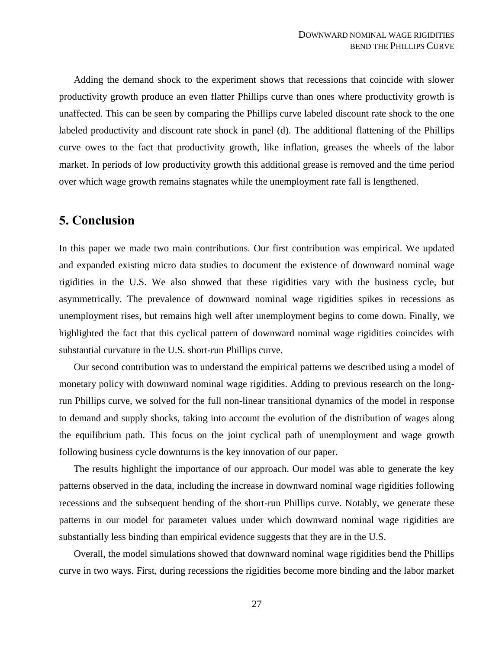Adding the demand shock to the experiment shows that recessions that coincide with slower productivity growth produce an even flatter Phillips curve than ones where productivity growth is unaffected. This can be seen by comparing the Phillips curve labeled discount rate shock to the one labeled productivity and discount rate shock in panel (d). The additional flattening of the Phillips curve owes to the fact that productivity growth, like inflation, greases the wheels of the labor market. In periods of low productivity growth this additional grease is removed and the time period over which wage growth remains stagnates while the unemployment rate fall is lengthened.

# <span id="page-27-0"></span>**5. Conclusion**

In this paper we made two main contributions. Our first contribution was empirical. We updated and expanded existing micro data studies to document the existence of downward nominal wage rigidities in the U.S. We also showed that these rigidities vary with the business cycle, but asymmetrically. The prevalence of downward nominal wage rigidities spikes in recessions as unemployment rises, but remains high well after unemployment begins to come down. Finally, we highlighted the fact that this cyclical pattern of downward nominal wage rigidities coincides with substantial curvature in the U.S. short-run Phillips curve.

Our second contribution was to understand the empirical patterns we described using a model of monetary policy with downward nominal wage rigidities. Adding to previous research on the longrun Phillips curve, we solved for the full non-linear transitional dynamics of the model in response to demand and supply shocks, taking into account the evolution of the distribution of wages along the equilibrium path. This focus on the joint cyclical path of unemployment and wage growth following business cycle downturns is the key innovation of our paper.

The results highlight the importance of our approach. Our model was able to generate the key patterns observed in the data, including the increase in downward nominal wage rigidities following recessions and the subsequent bending of the short-run Phillips curve. Notably, we generate these patterns in our model for parameter values under which downward nominal wage rigidities are substantially less binding than empirical evidence suggests that they are in the U.S.

Overall, the model simulations showed that downward nominal wage rigidities bend the Phillips curve in two ways. First, during recessions the rigidities become more binding and the labor market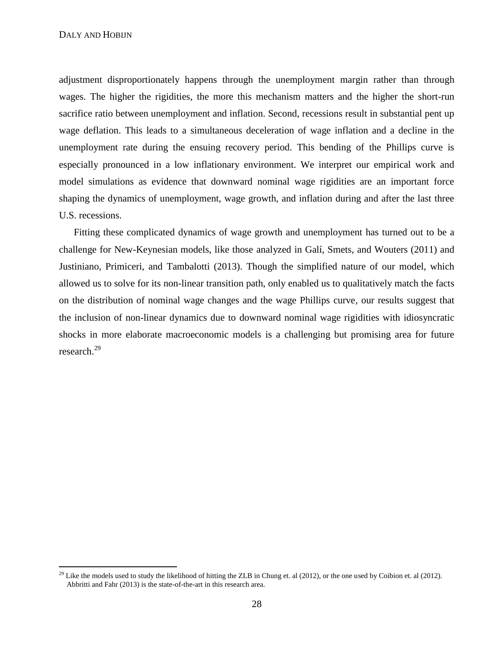$\overline{a}$ 

adjustment disproportionately happens through the unemployment margin rather than through wages. The higher the rigidities, the more this mechanism matters and the higher the short-run sacrifice ratio between unemployment and inflation. Second, recessions result in substantial pent up wage deflation. This leads to a simultaneous deceleration of wage inflation and a decline in the unemployment rate during the ensuing recovery period. This bending of the Phillips curve is especially pronounced in a low inflationary environment. We interpret our empirical work and model simulations as evidence that downward nominal wage rigidities are an important force shaping the dynamics of unemployment, wage growth, and inflation during and after the last three U.S. recessions.

Fitting these complicated dynamics of wage growth and unemployment has turned out to be a challenge for New-Keynesian models, like those analyzed in Galí, Smets, and Wouters (2011) and Justiniano, Primiceri, and Tambalotti (2013). Though the simplified nature of our model, which allowed us to solve for its non-linear transition path, only enabled us to qualitatively match the facts on the distribution of nominal wage changes and the wage Phillips curve, our results suggest that the inclusion of non-linear dynamics due to downward nominal wage rigidities with idiosyncratic shocks in more elaborate macroeconomic models is a challenging but promising area for future research.<sup>29</sup>

<sup>&</sup>lt;sup>29</sup> Like the models used to study the likelihood of hitting the ZLB in Chung et. al (2012), or the one used by Coibion et. al (2012). Abbritti and Fahr (2013) is the state-of-the-art in this research area.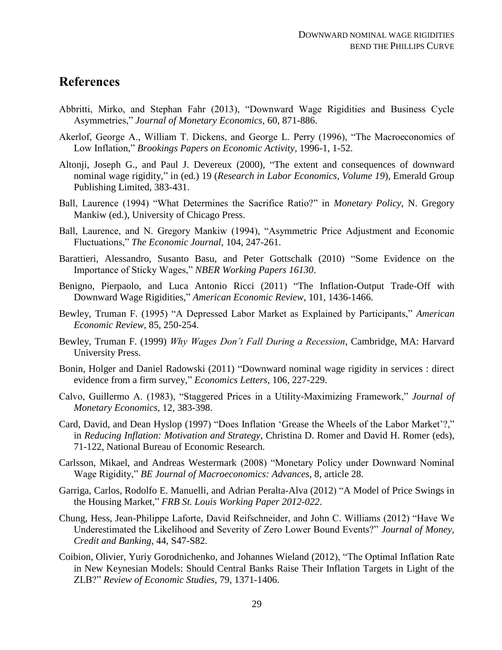# **References**

- Abbritti, Mirko, and Stephan Fahr (2013), "Downward Wage Rigidities and Business Cycle Asymmetries," *Journal of Monetary Economics*, 60, 871-886.
- Akerlof, George A., William T. Dickens, and George L. Perry (1996), "The Macroeconomics of Low Inflation," *Brookings Papers on Economic Activity*, 1996-1, 1-52.
- Altonji, Joseph G., and Paul J. Devereux (2000), "The extent and consequences of downward nominal wage rigidity," in (ed.) 19 (*Research in Labor Economics, Volume 19*), Emerald Group Publishing Limited, 383-431.
- Ball, Laurence (1994) "What Determines the Sacrifice Ratio?" in *Monetary Policy*, N. Gregory Mankiw (ed.), University of Chicago Press.
- Ball, Laurence, and N. Gregory Mankiw (1994), "Asymmetric Price Adjustment and Economic Fluctuations," *The Economic Journal*, 104, 247-261.
- Barattieri, Alessandro, Susanto Basu, and Peter Gottschalk (2010) "Some Evidence on the Importance of Sticky Wages," *NBER Working Papers 16130*.
- Benigno, Pierpaolo, and Luca Antonio Ricci (2011) "The Inflation-Output Trade-Off with Downward Wage Rigidities," *American Economic Review*, 101, 1436-1466.
- Bewley, Truman F. (1995) "A Depressed Labor Market as Explained by Participants," *American Economic Review*, 85, 250-254.
- Bewley, Truman F. (1999) *Why Wages Don't Fall During a Recession*, Cambridge, MA: Harvard University Press.
- Bonin, Holger and Daniel Radowski (2011) "Downward nominal wage rigidity in services : direct evidence from a firm survey," *Economics Letters*, 106, 227-229.
- Calvo, Guillermo A. (1983), "Staggered Prices in a Utility-Maximizing Framework," *Journal of Monetary Economics*, 12, 383-398.
- Card, David, and Dean Hyslop (1997) "Does Inflation 'Grease the Wheels of the Labor Market'?," in *Reducing Inflation: Motivation and Strategy*, Christina D. Romer and David H. Romer (eds), 71-122, National Bureau of Economic Research.
- Carlsson, Mikael, and Andreas Westermark (2008) "Monetary Policy under Downward Nominal Wage Rigidity," *BE Journal of Macroeconomics: Advances*, 8, article 28.
- Garriga, Carlos, Rodolfo E. Manuelli, and Adrian Peralta-Alva (2012) "A Model of Price Swings in the Housing Market," *FRB St. Louis Working Paper 2012-022*.
- Chung, Hess, Jean-Philippe Laforte, David Reifschneider, and John C. Williams (2012) "Have We Underestimated the Likelihood and Severity of Zero Lower Bound Events?" *Journal of Money, Credit and Banking*, 44, S47-S82.
- Coibion, Olivier, Yuriy Gorodnichenko, and Johannes Wieland (2012), "The Optimal Inflation Rate in New Keynesian Models: Should Central Banks Raise Their Inflation Targets in Light of the ZLB?" *Review of Economic Studies*, 79, 1371-1406.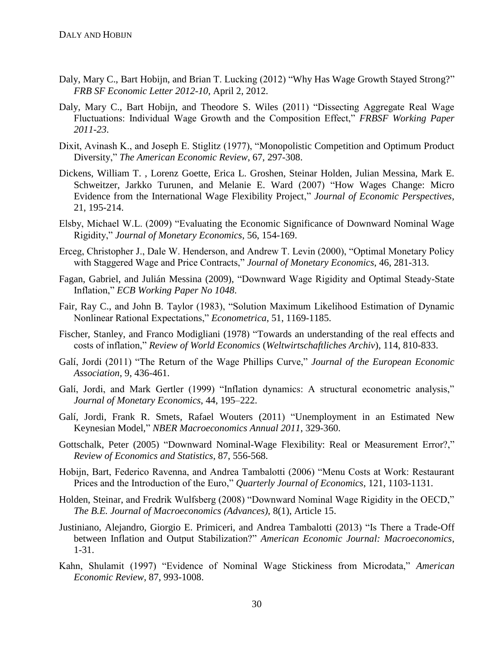- Daly, Mary C., Bart Hobijn, and Brian T. Lucking (2012) "Why Has Wage Growth Stayed Strong?" *FRB SF Economic Letter 2012-10*, April 2, 2012.
- Daly, Mary C., Bart Hobijn, and Theodore S. Wiles (2011) "Dissecting Aggregate Real Wage Fluctuations: Individual Wage Growth and the Composition Effect," *FRBSF Working Paper 2011-23*.
- Dixit, Avinash K., and Joseph E. Stiglitz (1977), "Monopolistic Competition and Optimum Product Diversity," *The American Economic Review*, 67, 297-308.
- Dickens, William T. , Lorenz Goette, Erica L. Groshen, Steinar Holden, Julian Messina, Mark E. Schweitzer, Jarkko Turunen, and Melanie E. Ward (2007) "How Wages Change: Micro Evidence from the International Wage Flexibility Project," *Journal of Economic Perspectives*, 21, 195-214.
- Elsby, Michael W.L. (2009) "Evaluating the Economic Significance of Downward Nominal Wage Rigidity," *Journal of Monetary Economics*, 56, 154-169.
- Erceg, Christopher J., Dale W. Henderson, and Andrew T. Levin (2000), "Optimal Monetary Policy with Staggered Wage and Price Contracts," *Journal of Monetary Economics*, 46, 281-313.
- Fagan, Gabriel, and Julián Messina (2009), "Downward Wage Rigidity and Optimal Steady-State Inflation," *ECB Working Paper No 1048*.
- Fair, Ray C., and John B. Taylor (1983), "Solution Maximum Likelihood Estimation of Dynamic Nonlinear Rational Expectations," *Econometrica*, 51, 1169-1185.
- Fischer, Stanley, and Franco Modigliani (1978) "Towards an understanding of the real effects and costs of inflation," *Review of World Economics* (*Weltwirtschaftliches Archiv*), 114, 810-833.
- Galí, Jordi (2011) "The Return of the Wage Phillips Curve," *Journal of the European Economic Association*, 9, 436-461.
- Galí, Jordi, and Mark Gertler (1999) "Inflation dynamics: A structural econometric analysis," *Journal of Monetary Economics*, 44, 195–222.
- Galí, Jordi, Frank R. Smets, Rafael Wouters (2011) "Unemployment in an Estimated New Keynesian Model," *NBER Macroeconomics Annual 2011*, 329-360.
- Gottschalk, Peter (2005) "Downward Nominal-Wage Flexibility: Real or Measurement Error?," *Review of Economics and Statistics*, 87, 556-568.
- Hobijn, Bart, Federico Ravenna, and Andrea Tambalotti (2006) "Menu Costs at Work: Restaurant Prices and the Introduction of the Euro," *Quarterly Journal of Economics*, 121, 1103-1131.
- Holden, Steinar, and Fredrik Wulfsberg (2008) "Downward Nominal Wage Rigidity in the OECD," *The B.E. Journal of Macroeconomics (Advances)*, 8(1), Article 15.
- Justiniano, Alejandro, Giorgio E. Primiceri, and Andrea Tambalotti (2013) "Is There a Trade-Off between Inflation and Output Stabilization?" *American Economic Journal: Macroeconomics*, 1-31.
- Kahn, Shulamit (1997) "Evidence of Nominal Wage Stickiness from Microdata," *American Economic Review*, 87, 993-1008.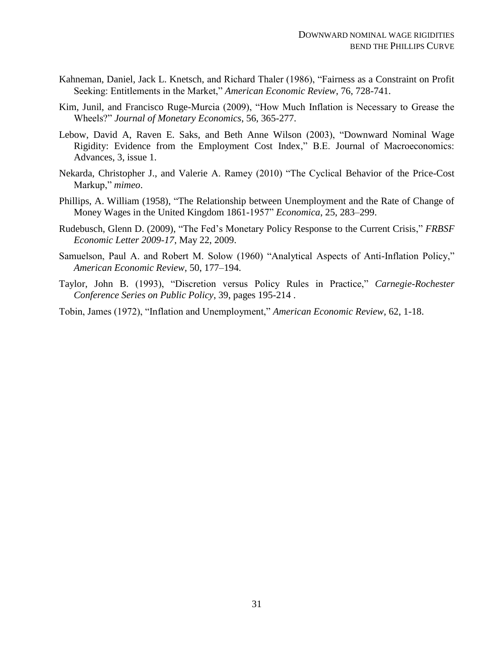- Kahneman, Daniel, Jack L. Knetsch, and Richard Thaler (1986), "Fairness as a Constraint on Profit Seeking: Entitlements in the Market," *American Economic Review*, 76, 728-741.
- Kim, Junil, and Francisco Ruge-Murcia (2009), "How Much Inflation is Necessary to Grease the Wheels?" *Journal of Monetary Economics*, 56, 365-277.
- Lebow, David A, Raven E. Saks, and Beth Anne Wilson (2003), "Downward Nominal Wage Rigidity: Evidence from the Employment Cost Index," B.E. Journal of Macroeconomics: Advances, 3, issue 1.
- Nekarda, Christopher J., and Valerie A. Ramey (2010) "The Cyclical Behavior of the Price-Cost Markup," *mimeo*.
- Phillips, A. William (1958), "The Relationship between Unemployment and the Rate of Change of Money Wages in the United Kingdom 1861-1957" *Economica*, 25, 283–299.
- Rudebusch, Glenn D. (2009), "The Fed's Monetary Policy Response to the Current Crisis," *FRBSF Economic Letter 2009-17*, May 22, 2009.
- Samuelson, Paul A. and Robert M. Solow (1960) "Analytical Aspects of Anti-Inflation Policy," *American Economic Review*, 50, 177–194.
- Taylor, John B. (1993), "Discretion versus Policy Rules in Practice," *Carnegie-Rochester Conference Series on Public Policy*, 39, pages 195-214 .
- Tobin, James (1972), "Inflation and Unemployment," *American Economic Review*, 62, 1-18.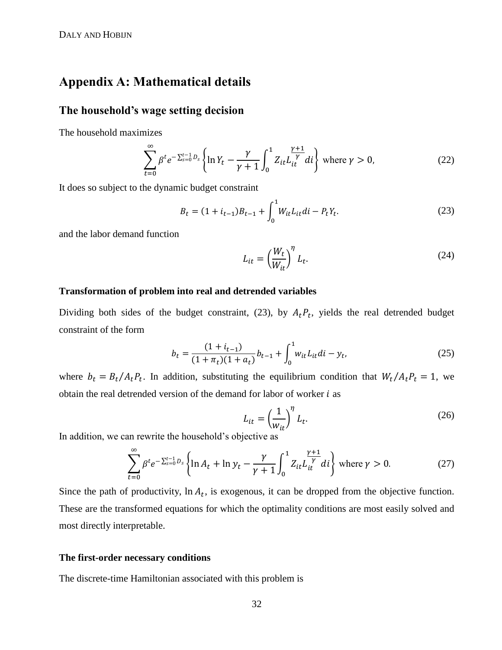# <span id="page-32-0"></span>**Appendix A: Mathematical details**

### **The household's wage setting decision**

The household maximizes

$$
\sum_{t=0}^{\infty} \beta^t e^{-\sum_{s=0}^{t-1} D_s} \left\{ \ln Y_t - \frac{\gamma}{\gamma+1} \int_0^1 Z_{it} L_{it}^{\frac{\gamma+1}{\gamma}} dt \right\} \text{ where } \gamma > 0,
$$
\n(22)

It does so subject to the dynamic budget constraint

$$
B_t = (1 + i_{t-1})B_{t-1} + \int_0^1 W_{it} L_{it} di - P_t Y_t.
$$
 (23)

and the labor demand function

<span id="page-32-1"></span>
$$
L_{it} = \left(\frac{W_t}{W_{it}}\right)^{\eta} L_t.
$$
 (24)

### **Transformation of problem into real and detrended variables**

Dividing both sides of the budget constraint, [\(23\),](#page-32-1) by  $A_t P_t$ , yields the real detrended budget constraint of the form

$$
b_t = \frac{(1 + i_{t-1})}{(1 + \pi_t)(1 + a_t)} b_{t-1} + \int_0^1 w_{it} L_{it} dt - y_t,
$$
\n(25)

where  $b_t = B_t/A_t P_t$ . In addition, substituting the equilibrium condition that  $W_t/A_t P_t = 1$ , we obtain the real detrended version of the demand for labor of worker  $i$  as

$$
L_{it} = \left(\frac{1}{w_{it}}\right)^{\eta} L_t.
$$
 (26)

In addition, we can rewrite the household's objective as

$$
\sum_{t=0}^{\infty} \beta^t e^{-\sum_{s=0}^{t-1} D_s} \left\{ \ln A_t + \ln y_t - \frac{\gamma}{\gamma+1} \int_0^1 Z_{it} L_{it}^{\frac{\gamma+1}{\gamma}} dt \right\} \text{ where } \gamma > 0. \tag{27}
$$

Since the path of productivity,  $\ln A_t$ , is exogenous, it can be dropped from the objective function. These are the transformed equations for which the optimality conditions are most easily solved and most directly interpretable.

#### **The first-order necessary conditions**

The discrete-time Hamiltonian associated with this problem is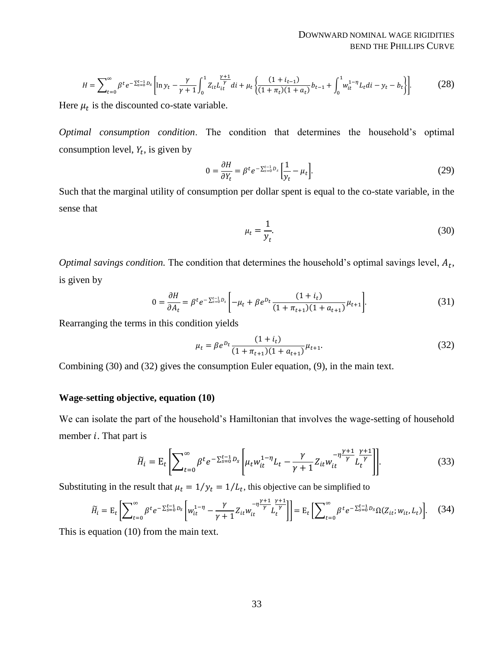$$
H = \sum_{t=0}^{\infty} \beta^t e^{-\sum_{s=0}^{t-1} D_s} \left[ \ln y_t - \frac{\gamma}{\gamma+1} \int_0^1 Z_{it} L_{it}^{\frac{\gamma+1}{\gamma}} dt + \mu_t \left\{ \frac{(1+i_{t-1})}{(1+\pi_t)(1+a_t)} b_{t-1} + \int_0^1 w_{it}^{1-\eta} L_t dt - y_t - b_t \right\} \right].
$$
 (28)

Here  $\mu_t$  is the discounted co-state variable.

*Optimal consumption condition*. The condition that determines the household's optimal consumption level,  $Y_t$ , is given by

$$
0 = \frac{\partial H}{\partial Y_t} = \beta^t e^{-\sum_{s=0}^{t-1} D_s} \left[ \frac{1}{y_t} - \mu_t \right].
$$
 (29)

Such that the marginal utility of consumption per dollar spent is equal to the co-state variable, in the sense that

<span id="page-33-1"></span><span id="page-33-0"></span>
$$
\mu_t = \frac{1}{y_t}.\tag{30}
$$

*Optimal savings condition.* The condition that determines the household's optimal savings level,  $A_t$ , is given by

$$
0 = \frac{\partial H}{\partial A_t} = \beta^t e^{-\sum_{s=0}^{t-1} D_s} \left[ -\mu_t + \beta e^{D_t} \frac{(1 + i_t)}{(1 + \pi_{t+1})(1 + a_{t+1})} \mu_{t+1} \right].
$$
 (31)

Rearranging the terms in this condition yields

$$
\mu_t = \beta e^{D_t} \frac{(1 + i_t)}{(1 + \pi_{t+1})(1 + a_{t+1})} \mu_{t+1}.
$$
\n(32)

Combining [\(30\)](#page-33-0) and [\(32\)](#page-33-1) gives the consumption Euler equation, [\(9\),](#page-10-1) in the main text.

### **Wage-setting objective, equation [\(10\)](#page-10-0)**

We can isolate the part of the household's Hamiltonian that involves the wage-setting of household member  $i$ . That part is

$$
\widetilde{H}_i = \mathcal{E}_t \left[ \sum_{t=0}^{\infty} \beta^t e^{-\sum_{s=0}^{t-1} D_s} \left[ \mu_t w_{it}^{1-\eta} L_t - \frac{\gamma}{\gamma+1} Z_{it} w_{it}^{-\eta \frac{\gamma+1}{\gamma}} L_t^{\frac{\gamma+1}{\gamma}} \right] \right].
$$
\n(33)

Substituting in the result that  $\mu_t = 1/y_t = 1/L_t$ , this objective can be simplified to

$$
\widetilde{H}_{i} = \mathrm{E}_{t} \Bigg[ \sum_{t=0}^{\infty} \beta^{t} e^{-\sum_{s=0}^{t-1} D_{s}} \Bigg[ w_{it}^{1-\eta} - \frac{\gamma}{\gamma+1} Z_{it} w_{it}^{-\eta \frac{\gamma+1}{\gamma}} L_{t}^{\frac{\gamma+1}{\gamma}} \Bigg] \Bigg] = \mathrm{E}_{t} \Bigg[ \sum_{t=0}^{\infty} \beta^{t} e^{-\sum_{s=0}^{t-1} D_{s}} \Omega(Z_{it}; w_{it}, L_{t}) \Bigg]. \tag{34}
$$

This is equation [\(10\)](#page-10-0) from the main text.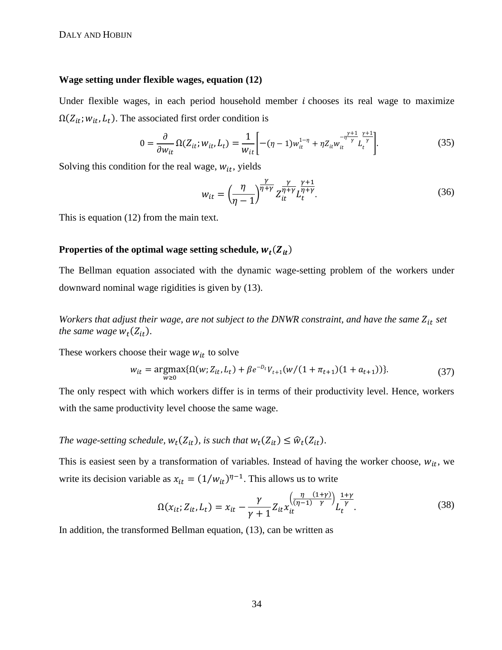#### **Wage setting under flexible wages, equation [\(12\)](#page-10-2)**

Under flexible wages, in each period household member  $i$  chooses its real wage to maximize  $\Omega(Z_{it}; w_{it}, L_t)$ . The associated first order condition is

$$
0 = \frac{\partial}{\partial w_{it}} \Omega(Z_{it}; w_{it}, L_t) = \frac{1}{w_{it}} \left[ -(\eta - 1) w_{it}^{1-\eta} + \eta Z_{it} w_{it}^{-\eta \frac{\gamma+1}{\gamma}} L_t^{\frac{\gamma+1}{\gamma}} \right].
$$
 (35)

Solving this condition for the real wage,  $w_{it}$ , yields

$$
w_{it} = \left(\frac{\eta}{\eta - 1}\right)^{\frac{\gamma}{\eta + \gamma}} Z_{it}^{\frac{\gamma}{\eta + \gamma}} L_t^{\frac{\gamma + 1}{\eta + \gamma}}.
$$
\n(36)

This is equation [\(12\)](#page-10-2) from the main text.

### Properties of the optimal wage setting schedule,  $w_t(Z_{it})$

The Bellman equation associated with the dynamic wage-setting problem of the workers under downward nominal wage rigidities is given by [\(13\).](#page-11-0)

*Workers that adjust their wage, are not subject to the DNWR constraint, and have the same Z<sub>it</sub> set the same wage*  $w_t(Z_{it})$ .

These workers choose their wage  $w_{it}$  to solve

$$
w_{it} = \underset{w \ge 0}{\operatorname{argmax}} \{ \Omega(w; Z_{it}, L_t) + \beta e^{-D_t} V_{t+1}(w/(1 + \pi_{t+1})(1 + a_{t+1})) \}. \tag{37}
$$

The only respect with which workers differ is in terms of their productivity level. Hence, workers with the same productivity level choose the same wage.

### The wage-setting schedule,  $w_t(Z_{it})$ , is such that  $w_t(Z_{it}) \leq \widehat{w}_t(Z_{it})$ .

This is easiest seen by a transformation of variables. Instead of having the worker choose,  $w_{it}$ , we write its decision variable as  $x_{it} = (1/w_{it})^{\eta-1}$ . This allows us to write

$$
\Omega(x_{it}; Z_{it}, L_t) = x_{it} - \frac{\gamma}{\gamma + 1} Z_{it} x_{it}^{\left(\frac{\eta}{(\eta - 1)} \frac{(1 + \gamma)}{\gamma}\right)} L_t^{\frac{1 + \gamma}{\gamma}}.
$$
(38)

In addition, the transformed Bellman equation, [\(13\),](#page-11-0) can be written as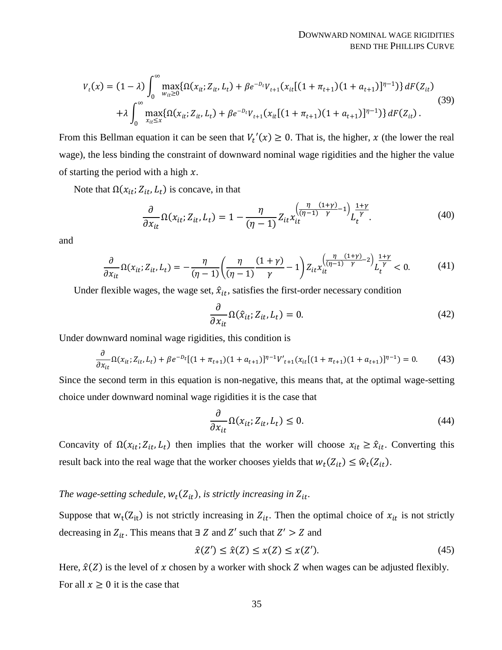$$
V_t(x) = (1 - \lambda) \int_0^\infty \max_{w_{it} \ge 0} \{ \Omega(x_{it}; Z_{it}, L_t) + \beta e^{-D_t} V_{t+1}(x_{it}[(1 + \pi_{t+1})(1 + a_{t+1})]^{\eta - 1}) \} dF(Z_{it})
$$
  
+  $\lambda \int_0^\infty \max_{x_{it} \le x} \{ \Omega(x_{it}; Z_{it}, L_t) + \beta e^{-D_t} V_{t+1}(x_{it}[(1 + \pi_{t+1})(1 + a_{t+1})]^{\eta - 1}) \} dF(Z_{it}).$  (39)

From this Bellman equation it can be seen that  $V_t'(x) \ge 0$ . That is, the higher, x (the lower the real wage), the less binding the constraint of downward nominal wage rigidities and the higher the value of starting the period with a high  $x$ .

Note that  $\Omega(x_{it}; Z_{it}, L_t)$  is concave, in that

$$
\frac{\partial}{\partial x_{it}} \Omega(x_{it}; Z_{it}, L_t) = 1 - \frac{\eta}{(\eta - 1)} Z_{it} x_{it}^{\left(\frac{\eta}{(\eta - 1)} \frac{(1 + \gamma)}{\gamma} - 1\right)} L_t^{\frac{1 + \gamma}{\gamma}}.
$$
(40)

and

$$
\frac{\partial}{\partial x_{it}} \Omega(x_{it}; Z_{it}, L_t) = -\frac{\eta}{(\eta - 1)} \left( \frac{\eta}{(\eta - 1)} \frac{(1 + \gamma)}{\gamma} - 1 \right) Z_{it} x_{it}^{\left( \frac{\eta}{(\eta - 1)} \frac{(1 + \gamma)}{\gamma} - 2 \right)} L_t^{\frac{1 + \gamma}{\gamma}} < 0. \tag{41}
$$

Under flexible wages, the wage set,  $\hat{x}_{it}$ , satisfies the first-order necessary condition

$$
\frac{\partial}{\partial x_{it}} \Omega(\hat{x}_{it}; Z_{it}, L_t) = 0.
$$
\n(42)

Under downward nominal wage rigidities, this condition is

$$
\frac{\partial}{\partial x_{it}} \Omega(x_{it}; Z_{it}, L_t) + \beta e^{-D_t} [(1 + \pi_{t+1})(1 + a_{t+1})]^{\eta - 1} V'_{t+1}(x_{it}[(1 + \pi_{t+1})(1 + a_{t+1})]^{\eta - 1}) = 0. \tag{43}
$$

Since the second term in this equation is non-negative, this means that, at the optimal wage-setting choice under downward nominal wage rigidities it is the case that

$$
\frac{\partial}{\partial x_{it}} \Omega(x_{it}; Z_{it}, L_t) \le 0. \tag{44}
$$

Concavity of  $\Omega(x_{it}; Z_{it}, L_t)$  then implies that the worker will choose  $x_{it} \geq \hat{x}_{it}$ . Converting this result back into the real wage that the worker chooses yields that  $w_t(Z_{it}) \leq \hat{w}_t(Z_{it})$ .

### The wage-setting schedule,  $w_t(Z_{it})$ , is strictly increasing in  $Z_{it}$ .

Suppose that  $w_t(Z_{it})$  is not strictly increasing in  $Z_{it}$ . Then the optimal choice of  $x_{it}$  is not strictly decreasing in  $Z_{it}$ . This means that  $\exists Z$  and  $Z'$  such that  $Z' > Z$  and

$$
\hat{x}(Z') \le \hat{x}(Z) \le x(Z) \le x(Z').\tag{45}
$$

Here,  $\hat{x}(Z)$  is the level of x chosen by a worker with shock Z when wages can be adjusted flexibly. For all  $x \geq 0$  it is the case that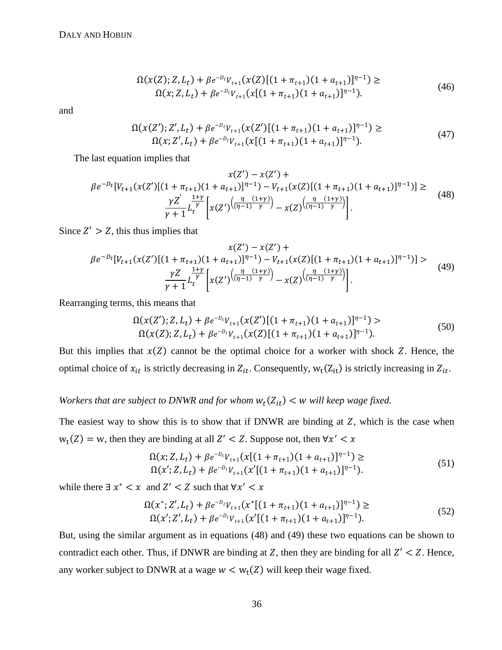$$
\Omega(x(Z); Z, L_t) + \beta e^{-D_t} V_{t+1}(x(Z)[(1 + \pi_{t+1})(1 + a_{t+1})]^{n-1}) \ge
$$
  

$$
\Omega(x; Z, L_t) + \beta e^{-D_t} V_{t+1}(x[(1 + \pi_{t+1})(1 + a_{t+1})]^{n-1}).
$$
\n(46)

and

<span id="page-36-0"></span>
$$
\Omega(x(Z'); Z', L_t) + \beta e^{-D_t} V_{t+1}(x(Z')[(1 + \pi_{t+1})(1 + a_{t+1})]^{n-1}) \ge
$$
  

$$
\Omega(x; Z', L_t) + \beta e^{-D_t} V_{t+1}(x[(1 + \pi_{t+1})(1 + a_{t+1})]^{n-1}).
$$
\n
$$
(47)
$$

The last equation implies that

$$
x(Z') - x(Z') +
$$
  
\n
$$
\beta e^{-D_t} [V_{t+1}(x(Z')[(1 + \pi_{t+1})(1 + a_{t+1})]^{\eta - 1}) - V_{t+1}(x(Z)[(1 + \pi_{t+1})(1 + a_{t+1})]^{\eta - 1})] \ge
$$
  
\n
$$
\frac{\gamma Z'}{\gamma + 1} L_t^{\frac{1+\gamma}{\gamma}} \left[ x(Z')^{\left(\frac{\eta}{(\eta - 1)} \frac{(1+\gamma)}{\gamma}\right)} - x(Z)^{\left(\frac{\eta}{(\eta - 1)} \frac{(1+\gamma)}{\gamma}\right)} \right].
$$
\n(48)

Since  $Z' > Z$ , this thus implies that

$$
x(Z') - x(Z') +
$$
  
\n
$$
\beta e^{-D_t} [V_{t+1}(x(Z')[(1 + \pi_{t+1})(1 + a_{t+1})]^{\eta - 1}) - V_{t+1}(x(Z)[(1 + \pi_{t+1})(1 + a_{t+1})]^{\eta - 1})] >
$$
  
\n
$$
\frac{\gamma Z}{\gamma + 1} L_t^{\frac{1+\gamma}{\gamma}} \Big[ x(Z') \frac{\left(\frac{\eta}{(\eta - 1)} \frac{(1+\gamma)}{\gamma}\right)}{x(Z)} - x(Z) \frac{\left(\frac{\eta}{(\eta - 1)} \frac{(1+\gamma)}{\gamma}\right)}{\left(\frac{\eta}{(\eta - 1)} \frac{(1+\gamma)}{\gamma}\right)} \Big].
$$
\n(49)

Rearranging terms, this means that

<span id="page-36-1"></span>
$$
\Omega(x(Z'); Z, L_t) + \beta e^{-D_t} V_{t+1}(x(Z')[(1 + \pi_{t+1})(1 + a_{t+1})]^{n-1}) > \n\Omega(x(Z); Z, L_t) + \beta e^{-D_t} V_{t+1}(x(Z)[(1 + \pi_{t+1})(1 + a_{t+1})]^{n-1}).
$$
\n(50)

But this implies that  $x(Z)$  cannot be the optimal choice for a worker with shock Z. Hence, the optimal choice of  $x_{it}$  is strictly decreasing in  $Z_{it}$ . Consequently,  $w_t(Z_{it})$  is strictly increasing in  $Z_{it}$ .

Workers that are subject to DNWR and for whom  $w_t(Z_{it}) < w$  will keep wage fixed.

The easiest way to show this is to show that if DNWR are binding at  $Z$ , which is the case when  $w_t(Z) = w$ , then they are binding at all  $Z' < Z$ . Suppose not, then  $\forall x'$ 

$$
\Omega(x; Z, L_t) + \beta e^{-D_t} V_{t+1}(x[(1 + \pi_{t+1})(1 + a_{t+1})]^{n-1}) \ge
$$
  
\n
$$
\Omega(x'; Z, L_t) + \beta e^{-D_t} V_{t+1}(x'[(1 + \pi_{t+1})(1 + a_{t+1})]^{n-1}).
$$
\n(51)

while there  $\exists x^* < x$  and  $Z' < Z$  such that  $\forall x'$ 

$$
\Omega(x^*; Z', L_t) + \beta e^{-D_t} V_{t+1}(x^*[(1 + \pi_{t+1})(1 + a_{t+1})]^{\eta - 1}) \ge
$$
  
\n
$$
\Omega(x'; Z', L_t) + \beta e^{-D_t} V_{t+1}(x'[(1 + \pi_{t+1})(1 + a_{t+1})]^{\eta - 1}).
$$
\n(52)

But, using the similar argument as in equations [\(48\)](#page-36-0) and [\(49\)](#page-36-1) these two equations can be shown to contradict each other. Thus, if DNWR are binding at  $Z$ , then they are binding for all  $Z' < Z$ . Hence, any worker subject to DNWR at a wage  $w < w_t(Z)$  will keep their wage fixed.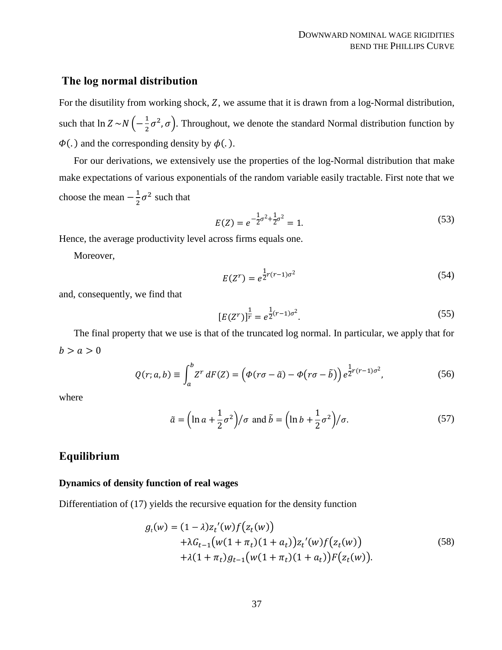### **The log normal distribution**

For the disutility from working shock, Z, we assume that it is drawn from a log-Normal distribution, such that  $\ln Z \sim N \left(-\frac{1}{2}\right)$  $\frac{1}{2}\sigma^2$ ,  $\sigma$ ). Throughout, we denote the standard Normal distribution function by  $\Phi(.)$  and the corresponding density by  $\phi(.)$ .

For our derivations, we extensively use the properties of the log-Normal distribution that make make expectations of various exponentials of the random variable easily tractable. First note that we choose the mean  $-\frac{1}{3}$  $\frac{1}{2}\sigma^2$  such that

$$
E(Z) = e^{-\frac{1}{2}\sigma^2 + \frac{1}{2}\sigma^2} = 1.
$$
\n(53)

Hence, the average productivity level across firms equals one.

Moreover,

$$
E(Z^r) = e^{\frac{1}{2}r(r-1)\sigma^2}
$$
 (54)

and, consequently, we find that

$$
[E(Z^r)]^{\frac{1}{r}} = e^{\frac{1}{2}(r-1)\sigma^2}.
$$
\n(55)

The final property that we use is that of the truncated log normal. In particular, we apply that for  $b > a > 0$ 

$$
Q(r;a,b) \equiv \int_a^b Z^r \, dF(Z) = \left(\Phi(r\sigma - \tilde{a}) - \Phi(r\sigma - \tilde{b})\right) e^{\frac{1}{2}r(r-1)\sigma^2},\tag{56}
$$

where

$$
\tilde{a} = \left(\ln a + \frac{1}{2}\sigma^2\right) / \sigma \text{ and } \tilde{b} = \left(\ln b + \frac{1}{2}\sigma^2\right) / \sigma. \tag{57}
$$

### **Equilibrium**

### **Dynamics of density function of real wages**

Differentiation of [\(17\)](#page-15-1) yields the recursive equation for the density function

$$
g_t(w) = (1 - \lambda)z_t'(w)f(z_t(w))
$$
  
+  $\lambda G_{t-1}(w(1 + \pi_t)(1 + a_t))z_t'(w)f(z_t(w))$   
+  $\lambda(1 + \pi_t)g_{t-1}(w(1 + \pi_t)(1 + a_t))F(z_t(w)).$  (58)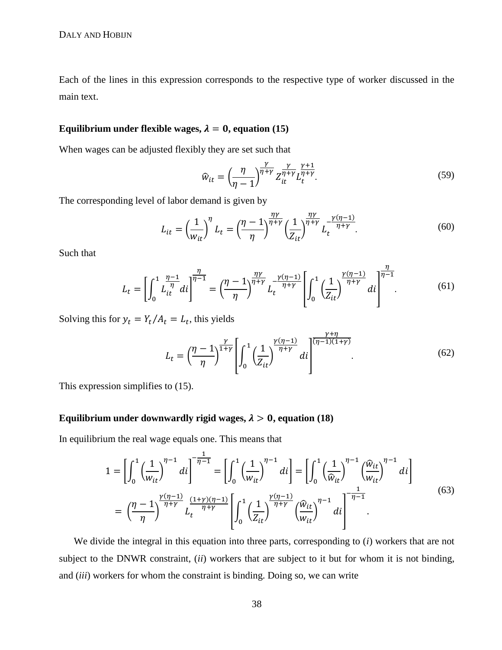Each of the lines in this expression corresponds to the respective type of worker discussed in the main text.

### Equilibrium under flexible wages,  $\lambda = 0$ , equation [\(15\)](#page-13-0)

When wages can be adjusted flexibly they are set such that

$$
\widehat{w}_{it} = \left(\frac{\eta}{\eta - 1}\right)^{\frac{\gamma}{\eta + \gamma}} Z_{it}^{\frac{\gamma}{\eta + \gamma}} L_t^{\frac{\gamma + 1}{\eta + \gamma}}.
$$
\n(59)

The corresponding level of labor demand is given by

$$
L_{it} = \left(\frac{1}{w_{it}}\right)^{\eta} L_t = \left(\frac{\eta - 1}{\eta}\right)^{\frac{\eta \gamma}{\eta + \gamma}} \left(\frac{1}{Z_{it}}\right)^{\frac{\eta \gamma}{\eta + \gamma}} L_t^{-\frac{\gamma(\eta - 1)}{\eta + \gamma}}.
$$
(60)

Such that

$$
L_{t} = \left[ \int_{0}^{1} \frac{\eta - 1}{L_{it}^{\eta}} di \right]^{\frac{\eta}{\eta - 1}} = \left( \frac{\eta - 1}{\eta} \right)^{\frac{\eta \gamma}{\eta + \gamma}} L_{t}^{-\frac{\gamma(\eta - 1)}{\eta + \gamma}} \left[ \int_{0}^{1} \left( \frac{1}{Z_{it}} \right)^{\frac{\gamma(\eta - 1)}{\eta + \gamma}} di \right]^{\frac{\eta}{\eta - 1}}.
$$
(61)

Solving this for  $y_t = Y_t/A_t = L_t$ , this yields

$$
L_t = \left(\frac{\eta - 1}{\eta}\right)^{\frac{\gamma}{1+\gamma}} \left[\int_0^1 \left(\frac{1}{Z_{it}}\right)^{\frac{\gamma(\eta-1)}{\eta+\gamma}} di\right]^{\frac{\gamma+\eta}{(\eta-1)(1+\gamma)}}.
$$
(62)

This expression simplifies to [\(15\).](#page-13-0)

### Equilibrium under downwardly rigid wages,  $\lambda > 0$ , equation [\(18\)](#page-15-0)

In equilibrium the real wage equals one. This means that

$$
1 = \left[\int_0^1 \left(\frac{1}{w_{it}}\right)^{\eta-1} di\right]^{-\frac{1}{\eta-1}} = \left[\int_0^1 \left(\frac{1}{w_{it}}\right)^{\eta-1} di\right] = \left[\int_0^1 \left(\frac{1}{\hat{w}_{it}}\right)^{\eta-1} \left(\frac{\hat{w}_{it}}{w_{it}}\right)^{\eta-1} di\right]
$$

$$
= \left(\frac{\eta-1}{\eta}\right)^{\frac{\gamma(\eta-1)}{\eta+\gamma}} L_t^{\frac{(1+\gamma)(\eta-1)}{\eta+\gamma}} \left[\int_0^1 \left(\frac{1}{Z_{it}}\right)^{\frac{\gamma(\eta-1)}{\eta+\gamma}} \left(\frac{\hat{w}_{it}}{w_{it}}\right)^{\eta-1} di\right]^{-\frac{1}{\eta-1}}.
$$
(63)

We divide the integral in this equation into three parts, corresponding to (*i*) workers that are not subject to the DNWR constraint, (*ii*) workers that are subject to it but for whom it is not binding, and (*iii*) workers for whom the constraint is binding. Doing so, we can write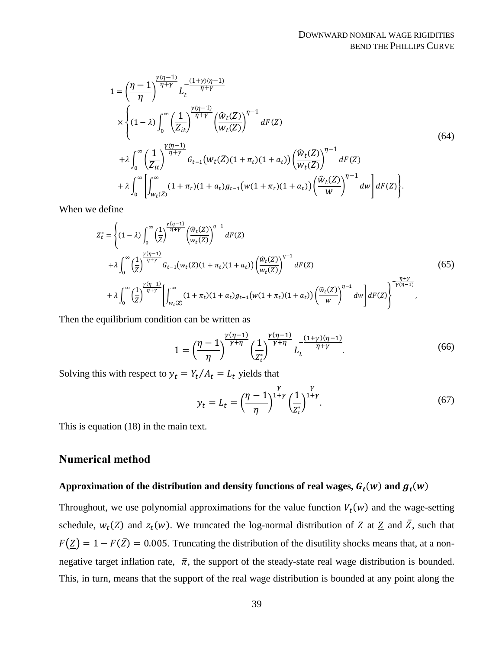$$
1 = \left(\frac{\eta - 1}{\eta}\right)^{\frac{\gamma(\eta - 1)}{\eta + \gamma}} L_t^{-\frac{(1 + \gamma)(\eta - 1)}{\eta + \gamma}}
$$
  
\n
$$
\times \left\{ (1 - \lambda) \int_0^{\infty} \left(\frac{1}{Z_{it}}\right)^{\frac{\gamma(\eta - 1)}{\eta + \gamma}} \left(\frac{\hat{w}_t(Z)}{w_t(Z)}\right)^{\eta - 1} dF(Z) \right\}
$$
  
\n
$$
+ \lambda \int_0^{\infty} \left(\frac{1}{Z_{it}}\right)^{\frac{\gamma(\eta - 1)}{\eta + \gamma}} G_{t-1}(w_t(Z)(1 + \pi_t)(1 + a_t)) \left(\frac{\hat{w}_t(Z)}{w_t(Z)}\right)^{\eta - 1} dF(Z)
$$
  
\n
$$
+ \lambda \int_0^{\infty} \left[ \int_{w_t(Z)}^{\infty} (1 + \pi_t)(1 + a_t) g_{t-1}(w(1 + \pi_t)(1 + a_t)) \left(\frac{\hat{w}_t(Z)}{w}\right)^{\eta - 1} dw \right] dF(Z) \right\}.
$$
  
\n(64)

When we define

$$
Z_t^* = \left\{ (1-\lambda) \int_0^\infty \left(\frac{1}{Z}\right)^{\frac{\gamma(\eta-1)}{\eta+\gamma}} \left(\frac{\hat{w}_t(Z)}{w_t(Z)}\right)^{\eta-1} dF(Z) \right. \\ \left. + \lambda \int_0^\infty \left(\frac{1}{Z}\right)^{\frac{\gamma(\eta-1)}{\eta+\gamma}} G_{t-1}(w_t(Z)(1+\pi_t)(1+a_t)) \left(\frac{\hat{w}_t(Z)}{w_t(Z)}\right)^{\eta-1} dF(Z) \right. \\ \left. + \lambda \int_0^\infty \left(\frac{1}{Z}\right)^{\frac{\gamma(\eta-1)}{\eta+\gamma}} \left[ \int_{w_t(Z)}^\infty (1+\pi_t)(1+a_t) g_{t-1}(w(1+\pi_t)(1+a_t)) \left(\frac{\hat{w}_t(Z)}{w}\right)^{\eta-1} dw \right] dF(Z) \right\}^{\frac{\eta+\gamma}{\gamma(\eta-1)}} , \tag{65}
$$

Then the equilibrium condition can be written as

$$
1 = \left(\frac{\eta - 1}{\eta}\right)^{\frac{\gamma(\eta - 1)}{\gamma + \eta}} \left(\frac{1}{z_t^*}\right)^{\frac{\gamma(\eta - 1)}{\gamma + \eta}} L_t^{-\frac{(1 + \gamma)(\eta - 1)}{\eta + \gamma}}.
$$
(66)

Solving this with respect to  $y_t = Y_t/A_t = L_t$  yields that

$$
y_t = L_t = \left(\frac{\eta - 1}{\eta}\right)^{\frac{\gamma}{1+\gamma}} \left(\frac{1}{Z_t^*}\right)^{\frac{\gamma}{1+\gamma}}.\tag{67}
$$

This is equation [\(18\)](#page-15-0) in the main text.

### **Numerical method**

### Approximation of the distribution and density functions of real wages,  $G_t(w)$  and  $g_t(w)$

Throughout, we use polynomial approximations for the value function  $V_t(w)$  and the wage-setting schedule,  $w_t(Z)$  and  $z_t(w)$ . We truncated the log-normal distribution of Z at  $Z$  and  $\overline{Z}$ , such that  $F(\underline{Z}) = 1 - F(\overline{Z}) = 0.005$ . Truncating the distribution of the disutility shocks means that, at a nonnegative target inflation rate,  $\bar{\pi}$ , the support of the steady-state real wage distribution is bounded. This, in turn, means that the support of the real wage distribution is bounded at any point along the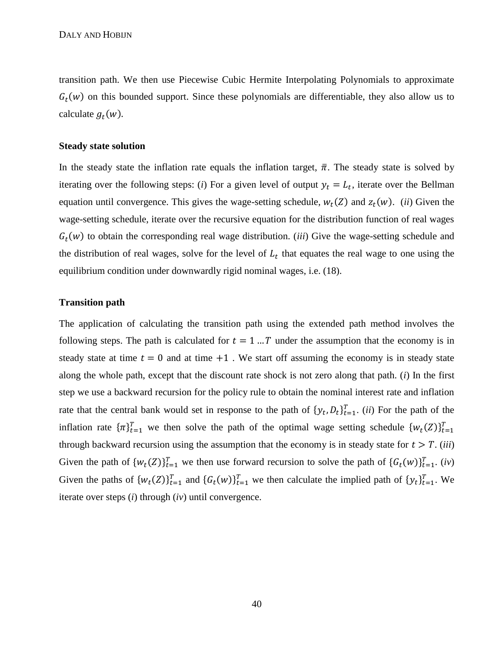transition path. We then use Piecewise Cubic Hermite Interpolating Polynomials to approximate  $G_t(w)$  on this bounded support. Since these polynomials are differentiable, they also allow us to calculate  $g_t(w)$ .

### **Steady state solution**

In the steady state the inflation rate equals the inflation target,  $\bar{\pi}$ . The steady state is solved by iterating over the following steps: (*i*) For a given level of output  $y_t = L_t$ , iterate over the Bellman equation until convergence. This gives the wage-setting schedule,  $w_t(Z)$  and  $z_t(w)$ . *(ii)* Given the wage-setting schedule, iterate over the recursive equation for the distribution function of real wages  $G_t(w)$  to obtain the corresponding real wage distribution. (*iii*) Give the wage-setting schedule and the distribution of real wages, solve for the level of  $L<sub>t</sub>$  that equates the real wage to one using the equilibrium condition under downwardly rigid nominal wages, i.e. [\(18\).](#page-15-0)

### **Transition path**

The application of calculating the transition path using the extended path method involves the following steps. The path is calculated for  $t = 1...T$  under the assumption that the economy is in steady state at time  $t = 0$  and at time  $+1$ . We start off assuming the economy is in steady state along the whole path, except that the discount rate shock is not zero along that path. (*i*) In the first step we use a backward recursion for the policy rule to obtain the nominal interest rate and inflation rate that the central bank would set in response to the path of  $\{y_t, D_t\}_{t=1}^T$ . *(ii)* For the path of the inflation rate  ${\{\pi\}}_{t=1}^T$  we then solve the path of the optimal wage setting schedule  ${w_t(Z)}_{t=1}^T$ through backward recursion using the assumption that the economy is in steady state for  $t > T$ . *(iii)* Given the path of  $\{w_t(Z)\}_{t=1}^T$  we then use forward recursion to solve the path of  $\{G_t(w)\}_{t=1}^T$ . (*iv*) Given the paths of  $\{w_t(Z)\}_{t=1}^T$  and  $\{G_t(w)\}_{t=1}^T$  we then calculate the implied path of  $\{y_t\}_{t=1}^T$ . We iterate over steps (*i*) through (*iv*) until convergence.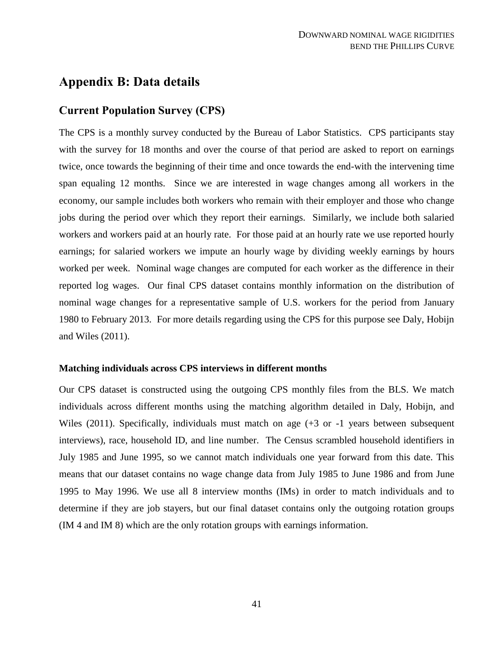# <span id="page-41-0"></span>**Appendix B: Data details**

# **Current Population Survey (CPS)**

The CPS is a monthly survey conducted by the Bureau of Labor Statistics. CPS participants stay with the survey for 18 months and over the course of that period are asked to report on earnings twice, once towards the beginning of their time and once towards the end-with the intervening time span equaling 12 months. Since we are interested in wage changes among all workers in the economy, our sample includes both workers who remain with their employer and those who change jobs during the period over which they report their earnings. Similarly, we include both salaried workers and workers paid at an hourly rate. For those paid at an hourly rate we use reported hourly earnings; for salaried workers we impute an hourly wage by dividing weekly earnings by hours worked per week. Nominal wage changes are computed for each worker as the difference in their reported log wages. Our final CPS dataset contains monthly information on the distribution of nominal wage changes for a representative sample of U.S. workers for the period from January 1980 to February 2013. For more details regarding using the CPS for this purpose see Daly, Hobijn and Wiles (2011).

### **Matching individuals across CPS interviews in different months**

Our CPS dataset is constructed using the outgoing CPS monthly files from the BLS. We match individuals across different months using the matching algorithm detailed in Daly, Hobijn, and Wiles (2011). Specifically, individuals must match on age (+3 or -1 years between subsequent interviews), race, household ID, and line number. The Census scrambled household identifiers in July 1985 and June 1995, so we cannot match individuals one year forward from this date. This means that our dataset contains no wage change data from July 1985 to June 1986 and from June 1995 to May 1996. We use all 8 interview months (IMs) in order to match individuals and to determine if they are job stayers, but our final dataset contains only the outgoing rotation groups (IM 4 and IM 8) which are the only rotation groups with earnings information.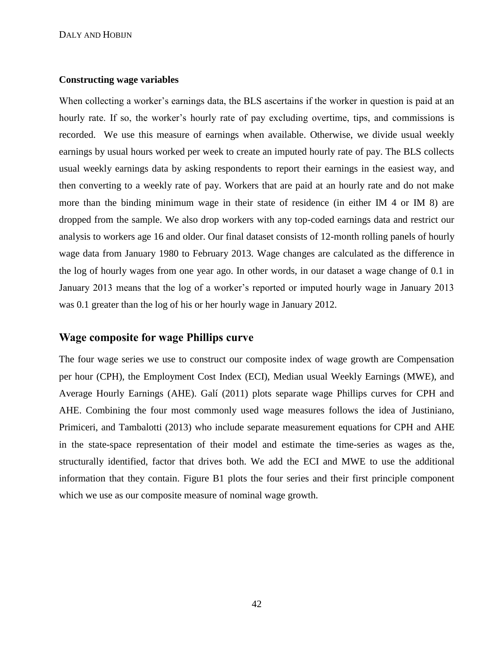#### **Constructing wage variables**

When collecting a worker's earnings data, the BLS ascertains if the worker in question is paid at an hourly rate. If so, the worker's hourly rate of pay excluding overtime, tips, and commissions is recorded. We use this measure of earnings when available. Otherwise, we divide usual weekly earnings by usual hours worked per week to create an imputed hourly rate of pay. The BLS collects usual weekly earnings data by asking respondents to report their earnings in the easiest way, and then converting to a weekly rate of pay. Workers that are paid at an hourly rate and do not make more than the binding minimum wage in their state of residence (in either IM 4 or IM 8) are dropped from the sample. We also drop workers with any top-coded earnings data and restrict our analysis to workers age 16 and older. Our final dataset consists of 12-month rolling panels of hourly wage data from January 1980 to February 2013. Wage changes are calculated as the difference in the log of hourly wages from one year ago. In other words, in our dataset a wage change of 0.1 in January 2013 means that the log of a worker's reported or imputed hourly wage in January 2013 was 0.1 greater than the log of his or her hourly wage in January 2012.

# **Wage composite for wage Phillips curve**

The four wage series we use to construct our composite index of wage growth are Compensation per hour (CPH), the Employment Cost Index (ECI), Median usual Weekly Earnings (MWE), and Average Hourly Earnings (AHE). Galí (2011) plots separate wage Phillips curves for CPH and AHE. Combining the four most commonly used wage measures follows the idea of Justiniano, Primiceri, and Tambalotti (2013) who include separate measurement equations for CPH and AHE in the state-space representation of their model and estimate the time-series as wages as the, structurally identified, factor that drives both. We add the ECI and MWE to use the additional information that they contain. Figure [B1](#page-51-0) plots the four series and their first principle component which we use as our composite measure of nominal wage growth.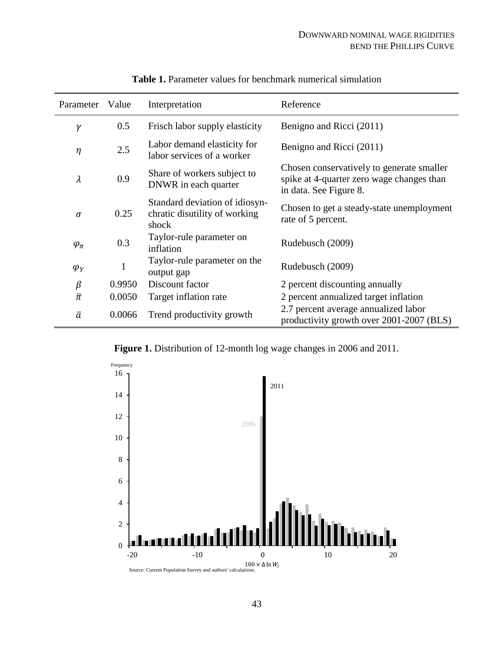| Parameter     | Value        | Interpretation                                                           | Reference                                                                                                        |
|---------------|--------------|--------------------------------------------------------------------------|------------------------------------------------------------------------------------------------------------------|
| $\gamma$      | 0.5          | Frisch labor supply elasticity                                           | Benigno and Ricci (2011)                                                                                         |
| $\eta$        | 2.5          | Labor demand elasticity for<br>labor services of a worker                | Benigno and Ricci (2011)                                                                                         |
| $\lambda$     | 0.9          | Share of workers subject to<br>DNWR in each quarter                      | Chosen conservatively to generate smaller<br>spike at 4-quarter zero wage changes than<br>in data. See Figure 8. |
| $\sigma$      | 0.25         | Standard deviation of idiosyn-<br>chratic disutility of working<br>shock | Chosen to get a steady-state unemployment<br>rate of 5 percent.                                                  |
| $\varphi_\pi$ | 0.3          | Taylor-rule parameter on<br>inflation                                    | Rudebusch (2009)                                                                                                 |
| $\varphi_Y$   | $\mathbf{1}$ | Taylor-rule parameter on the<br>output gap                               | Rudebusch (2009)                                                                                                 |
| $\beta$       | 0.9950       | Discount factor                                                          | 2 percent discounting annually                                                                                   |
| $\bar{\pi}$   | 0.0050       | Target inflation rate                                                    | 2 percent annualized target inflation                                                                            |
| $\bar{a}$     | 0.0066       | Trend productivity growth                                                | 2.7 percent average annualized labor<br>productivity growth over 2001-2007 (BLS)                                 |

<span id="page-43-1"></span>**Table 1.** Parameter values for benchmark numerical simulation

<span id="page-43-0"></span>**Figure 1.** Distribution of 12-month log wage changes in 2006 and 2011.

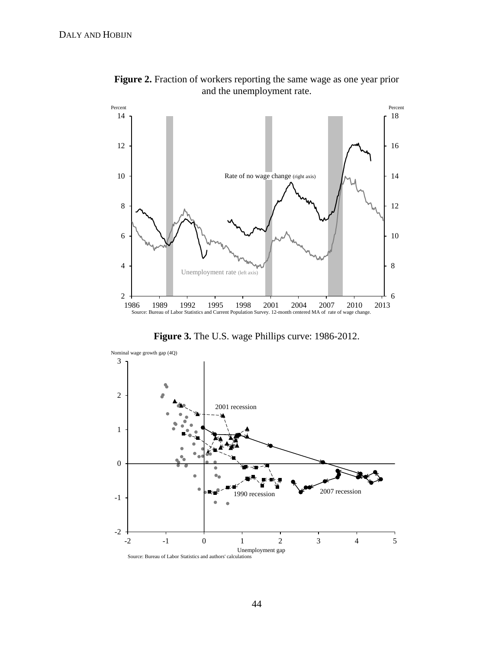

<span id="page-44-0"></span>**Figure 2.** Fraction of workers reporting the same wage as one year prior and the unemployment rate.

<span id="page-44-1"></span>**Figure 3.** The U.S. wage Phillips curve: 1986-2012.

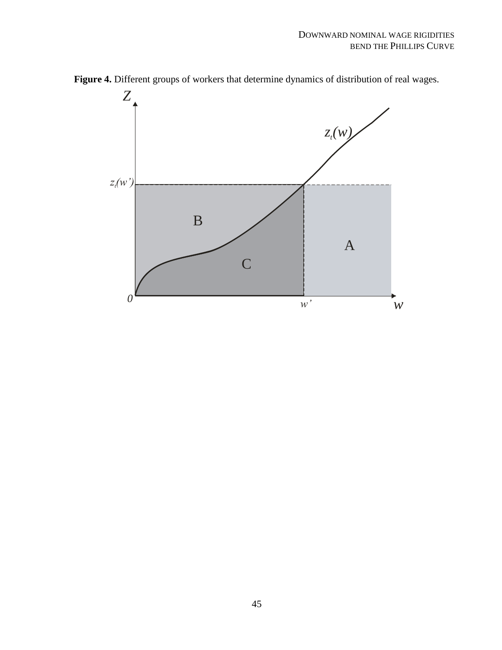<span id="page-45-0"></span>

**Figure 4.** Different groups of workers that determine dynamics of distribution of real wages.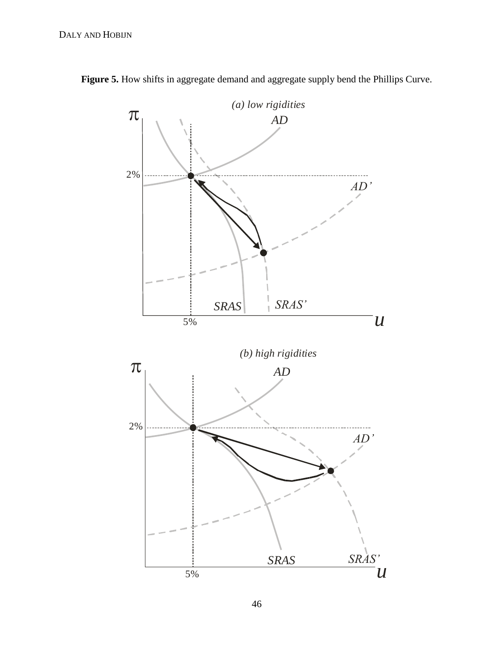<span id="page-46-0"></span>

Figure 5. How shifts in aggregate demand and aggregate supply bend the Phillips Curve.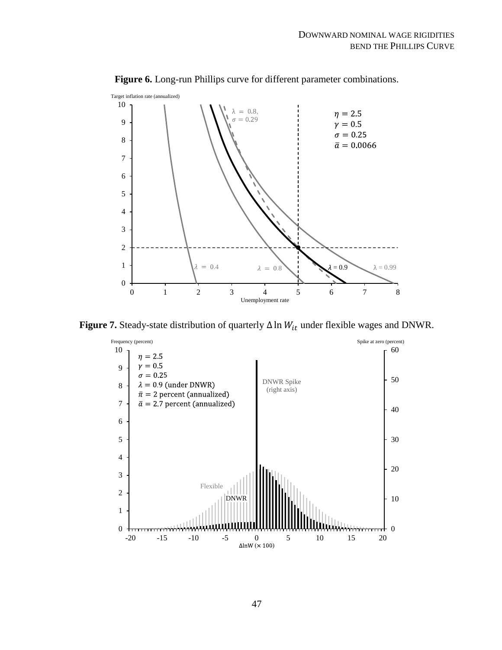

<span id="page-47-0"></span>**Figure 6.** Long-run Phillips curve for different parameter combinations.

**Figure 7.** Steady-state distribution of quarterly  $\Delta \ln W_{it}$  under flexible wages and DNWR.

<span id="page-47-1"></span>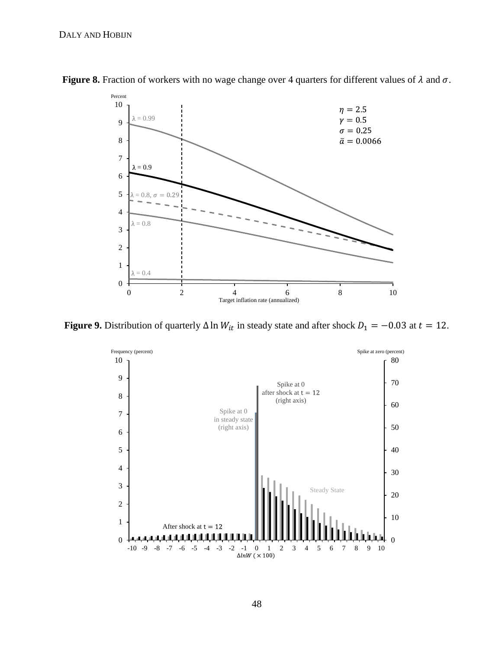<span id="page-48-0"></span>

**Figure 8.** Fraction of workers with no wage change over 4 quarters for different values of  $\lambda$  and  $\sigma$ .

**Figure 9.** Distribution of quarterly  $\Delta \ln W_{it}$  in steady state and after shock  $D_1 = -0.03$  at  $t = 12$ .

<span id="page-48-1"></span>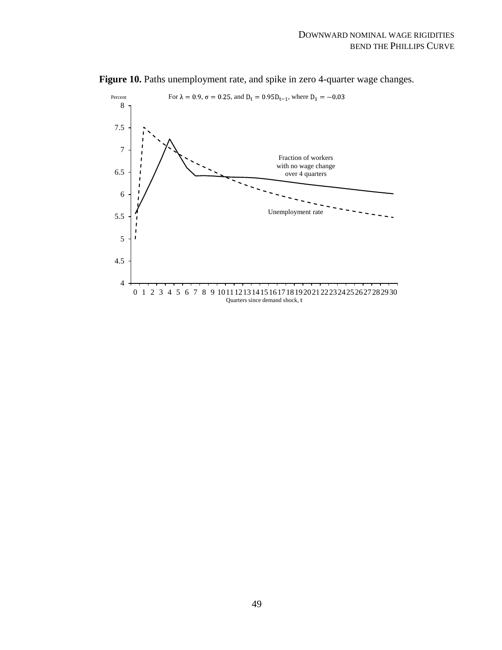<span id="page-49-0"></span>

Figure 10. Paths unemployment rate, and spike in zero 4-quarter wage changes.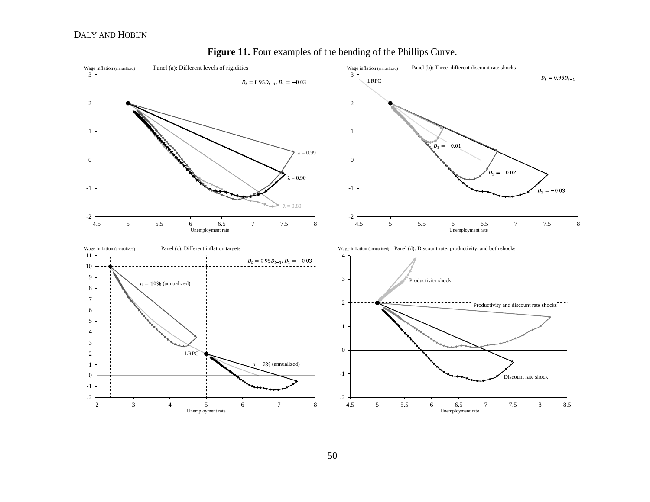### DALY AND HOBIJN



<span id="page-50-0"></span>**Figure 11.** Four examples of the bending of the Phillips Curve.